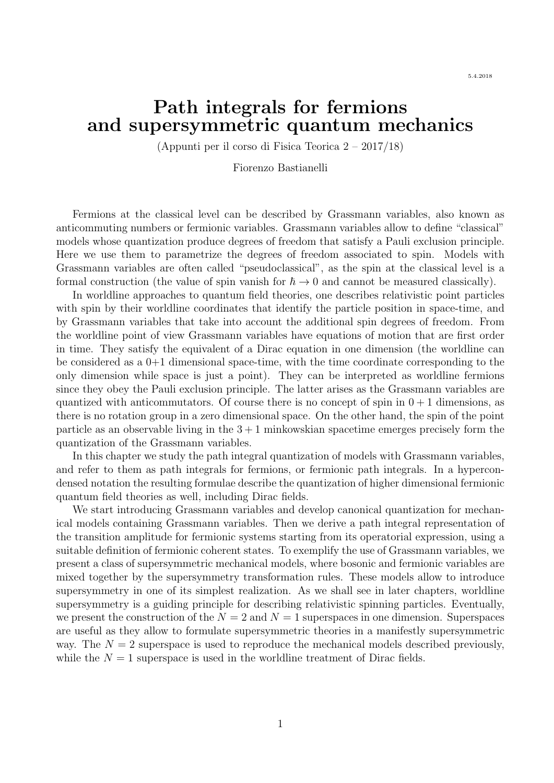# Path integrals for fermions and supersymmetric quantum mechanics

(Appunti per il corso di Fisica Teorica 2 – 2017/18)

Fiorenzo Bastianelli

Fermions at the classical level can be described by Grassmann variables, also known as anticommuting numbers or fermionic variables. Grassmann variables allow to define "classical" models whose quantization produce degrees of freedom that satisfy a Pauli exclusion principle. Here we use them to parametrize the degrees of freedom associated to spin. Models with Grassmann variables are often called "pseudoclassical", as the spin at the classical level is a formal construction (the value of spin vanish for  $\hbar \to 0$  and cannot be measured classically).

In worldline approaches to quantum field theories, one describes relativistic point particles with spin by their worldline coordinates that identify the particle position in space-time, and by Grassmann variables that take into account the additional spin degrees of freedom. From the worldline point of view Grassmann variables have equations of motion that are first order in time. They satisfy the equivalent of a Dirac equation in one dimension (the worldline can be considered as a  $0+1$  dimensional space-time, with the time coordinate corresponding to the only dimension while space is just a point). They can be interpreted as worldline fermions since they obey the Pauli exclusion principle. The latter arises as the Grassmann variables are quantized with anticommutators. Of course there is no concept of spin in  $0 + 1$  dimensions, as there is no rotation group in a zero dimensional space. On the other hand, the spin of the point particle as an observable living in the  $3+1$  minkowskian spacetime emerges precisely form the quantization of the Grassmann variables.

In this chapter we study the path integral quantization of models with Grassmann variables, and refer to them as path integrals for fermions, or fermionic path integrals. In a hypercondensed notation the resulting formulae describe the quantization of higher dimensional fermionic quantum field theories as well, including Dirac fields.

We start introducing Grassmann variables and develop canonical quantization for mechanical models containing Grassmann variables. Then we derive a path integral representation of the transition amplitude for fermionic systems starting from its operatorial expression, using a suitable definition of fermionic coherent states. To exemplify the use of Grassmann variables, we present a class of supersymmetric mechanical models, where bosonic and fermionic variables are mixed together by the supersymmetry transformation rules. These models allow to introduce supersymmetry in one of its simplest realization. As we shall see in later chapters, worldline supersymmetry is a guiding principle for describing relativistic spinning particles. Eventually, we present the construction of the  $N = 2$  and  $N = 1$  superspaces in one dimension. Superspaces are useful as they allow to formulate supersymmetric theories in a manifestly supersymmetric way. The  $N = 2$  superspace is used to reproduce the mechanical models described previously, while the  $N = 1$  superspace is used in the worldline treatment of Dirac fields.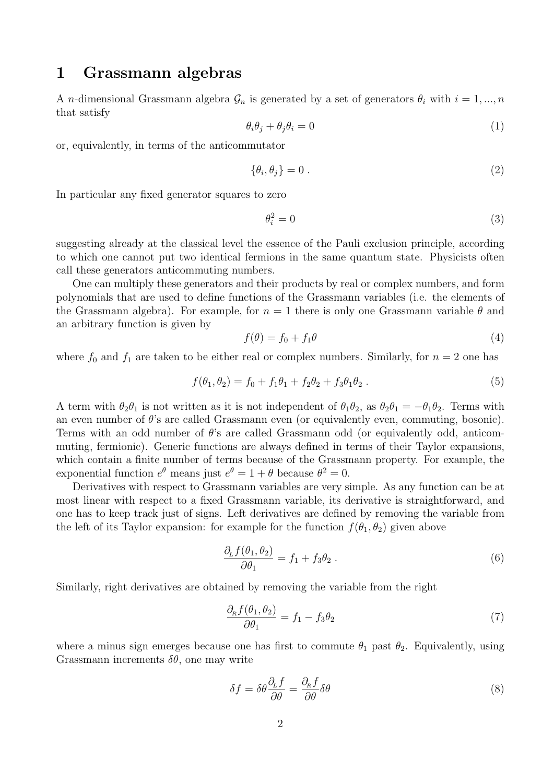## 1 Grassmann algebras

A *n*-dimensional Grassmann algebra  $\mathcal{G}_n$  is generated by a set of generators  $\theta_i$  with  $i = 1, ..., n$ that satisfy

$$
\theta_i \theta_j + \theta_j \theta_i = 0 \tag{1}
$$

or, equivalently, in terms of the anticommutator

$$
\{\theta_i, \theta_j\} = 0.
$$
\n<sup>(2)</sup>

In particular any fixed generator squares to zero

$$
\theta_i^2 = 0\tag{3}
$$

suggesting already at the classical level the essence of the Pauli exclusion principle, according to which one cannot put two identical fermions in the same quantum state. Physicists often call these generators anticommuting numbers.

One can multiply these generators and their products by real or complex numbers, and form polynomials that are used to define functions of the Grassmann variables (i.e. the elements of the Grassmann algebra). For example, for  $n = 1$  there is only one Grassmann variable  $\theta$  and an arbitrary function is given by

$$
f(\theta) = f_0 + f_1 \theta \tag{4}
$$

where  $f_0$  and  $f_1$  are taken to be either real or complex numbers. Similarly, for  $n = 2$  one has

$$
f(\theta_1, \theta_2) = f_0 + f_1 \theta_1 + f_2 \theta_2 + f_3 \theta_1 \theta_2.
$$
 (5)

A term with  $\theta_2\theta_1$  is not written as it is not independent of  $\theta_1\theta_2$ , as  $\theta_2\theta_1 = -\theta_1\theta_2$ . Terms with an even number of  $\theta$ 's are called Grassmann even (or equivalently even, commuting, bosonic). Terms with an odd number of  $\theta$ 's are called Grassmann odd (or equivalently odd, anticommuting, fermionic). Generic functions are always defined in terms of their Taylor expansions, which contain a finite number of terms because of the Grassmann property. For example, the exponential function  $e^{\theta}$  means just  $e^{\theta} = 1 + \theta$  because  $\theta^2 = 0$ .

Derivatives with respect to Grassmann variables are very simple. As any function can be at most linear with respect to a fixed Grassmann variable, its derivative is straightforward, and one has to keep track just of signs. Left derivatives are defined by removing the variable from the left of its Taylor expansion: for example for the function  $f(\theta_1, \theta_2)$  given above

$$
\frac{\partial_L f(\theta_1, \theta_2)}{\partial \theta_1} = f_1 + f_3 \theta_2 \,. \tag{6}
$$

Similarly, right derivatives are obtained by removing the variable from the right

$$
\frac{\partial_{\rm R} f(\theta_1, \theta_2)}{\partial \theta_1} = f_1 - f_3 \theta_2 \tag{7}
$$

where a minus sign emerges because one has first to commute  $\theta_1$  past  $\theta_2$ . Equivalently, using Grassmann increments  $\delta\theta$ , one may write

$$
\delta f = \delta \theta \frac{\partial_L f}{\partial \theta} = \frac{\partial_R f}{\partial \theta} \delta \theta \tag{8}
$$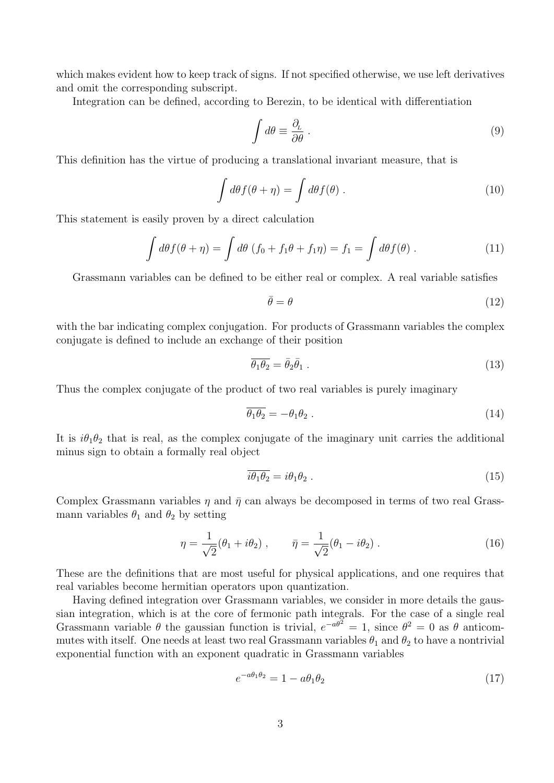which makes evident how to keep track of signs. If not specified otherwise, we use left derivatives and omit the corresponding subscript.

Integration can be defined, according to Berezin, to be identical with differentiation

$$
\int d\theta \equiv \frac{\partial_L}{\partial \theta} \,. \tag{9}
$$

This definition has the virtue of producing a translational invariant measure, that is

$$
\int d\theta f(\theta + \eta) = \int d\theta f(\theta).
$$
\n(10)

This statement is easily proven by a direct calculation

$$
\int d\theta f(\theta + \eta) = \int d\theta (f_0 + f_1 \theta + f_1 \eta) = f_1 = \int d\theta f(\theta).
$$
 (11)

Grassmann variables can be defined to be either real or complex. A real variable satisfies

$$
\bar{\theta} = \theta \tag{12}
$$

with the bar indicating complex conjugation. For products of Grassmann variables the complex conjugate is defined to include an exchange of their position

$$
\overline{\theta_1 \theta_2} = \overline{\theta}_2 \overline{\theta}_1 \tag{13}
$$

Thus the complex conjugate of the product of two real variables is purely imaginary

$$
\overline{\theta_1 \theta_2} = -\theta_1 \theta_2 \,. \tag{14}
$$

It is  $i\theta_1\theta_2$  that is real, as the complex conjugate of the imaginary unit carries the additional minus sign to obtain a formally real object

$$
\overline{i\theta_1\theta_2} = i\theta_1\theta_2 \tag{15}
$$

Complex Grassmann variables  $\eta$  and  $\bar{\eta}$  can always be decomposed in terms of two real Grassmann variables  $\theta_1$  and  $\theta_2$  by setting

$$
\eta = \frac{1}{\sqrt{2}}(\theta_1 + i\theta_2), \qquad \bar{\eta} = \frac{1}{\sqrt{2}}(\theta_1 - i\theta_2).
$$
 (16)

These are the definitions that are most useful for physical applications, and one requires that real variables become hermitian operators upon quantization.

Having defined integration over Grassmann variables, we consider in more details the gaussian integration, which is at the core of fermonic path integrals. For the case of a single real Grassmann variable  $\theta$  the gaussian function is trivial,  $e^{-a\theta^2} = 1$ , since  $\theta^2 = 0$  as  $\theta$  anticommutes with itself. One needs at least two real Grassmann variables  $\theta_1$  and  $\theta_2$  to have a nontrivial exponential function with an exponent quadratic in Grassmann variables

$$
e^{-a\theta_1\theta_2} = 1 - a\theta_1\theta_2\tag{17}
$$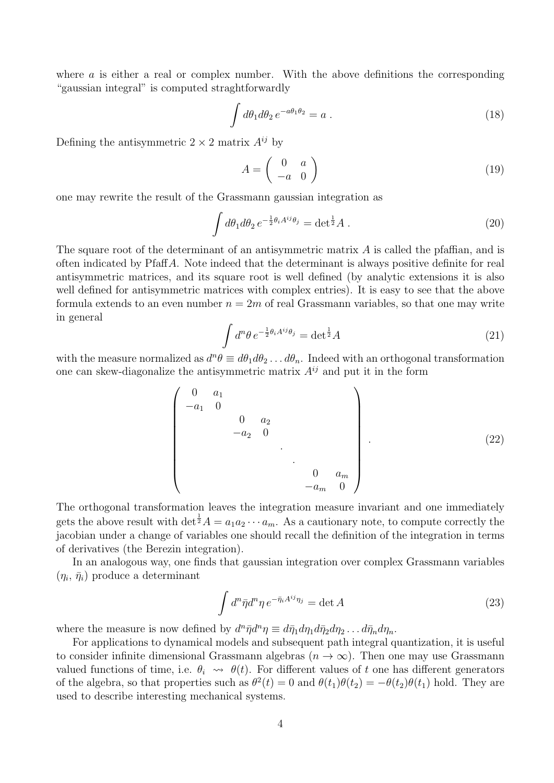where  $\alpha$  is either a real or complex number. With the above definitions the corresponding "gaussian integral" is computed straghtforwardly

$$
\int d\theta_1 d\theta_2 e^{-a\theta_1 \theta_2} = a . \tag{18}
$$

Defining the antisymmetric  $2 \times 2$  matrix  $A^{ij}$  by

$$
A = \left(\begin{array}{cc} 0 & a \\ -a & 0 \end{array}\right) \tag{19}
$$

one may rewrite the result of the Grassmann gaussian integration as

$$
\int d\theta_1 d\theta_2 e^{-\frac{1}{2}\theta_i A^{ij}\theta_j} = \det^{\frac{1}{2}} A.
$$
\n(20)

The square root of the determinant of an antisymmetric matrix  $A$  is called the pfaffian, and is often indicated by PfaffA. Note indeed that the determinant is always positive definite for real antisymmetric matrices, and its square root is well defined (by analytic extensions it is also well defined for antisymmetric matrices with complex entries). It is easy to see that the above formula extends to an even number  $n = 2m$  of real Grassmann variables, so that one may write in general

$$
\int d^n \theta \, e^{-\frac{1}{2}\theta_i A^{ij}\theta_j} = \det^{\frac{1}{2}} A \tag{21}
$$

with the measure normalized as  $d^n \theta \equiv d\theta_1 d\theta_2 \dots d\theta_n$ . Indeed with an orthogonal transformation one can skew-diagonalize the antisymmetric matrix  $A^{ij}$  and put it in the form

$$
\begin{pmatrix}\n0 & a_1 & & & & & \\
-a_1 & 0 & & & & & \\
& & 0 & a_2 & & & \\
& & & -a_2 & 0 & & \\
& & & & & \ddots & \\
& & & & & & 0 & a_m \\
& & & & & & -a_m & 0\n\end{pmatrix}.
$$
\n(22)

The orthogonal transformation leaves the integration measure invariant and one immediately gets the above result with  $\det^{\frac{1}{2}} A = a_1 a_2 \cdots a_m$ . As a cautionary note, to compute correctly the jacobian under a change of variables one should recall the definition of the integration in terms of derivatives (the Berezin integration).

In an analogous way, one finds that gaussian integration over complex Grassmann variables  $(\eta_i, \bar{\eta}_i)$  produce a determinant

$$
\int d^n \bar{\eta} d^n \eta \, e^{-\bar{\eta}_i A^{ij} \eta_j} = \det A \tag{23}
$$

where the measure is now defined by  $d^n \bar{\eta} d^n \eta \equiv d \bar{\eta}_1 d \eta_1 d \bar{\eta}_2 d \eta_2 \dots d \bar{\eta}_n d \eta_n$ .

For applications to dynamical models and subsequent path integral quantization, it is useful to consider infinite dimensional Grassmann algebras  $(n \to \infty)$ . Then one may use Grassmann valued functions of time, i.e.  $\theta_i \leadsto \theta(t)$ . For different values of t one has different generators of the algebra, so that properties such as  $\theta^2(t) = 0$  and  $\theta(t_1)\theta(t_2) = -\theta(t_2)\theta(t_1)$  hold. They are used to describe interesting mechanical systems.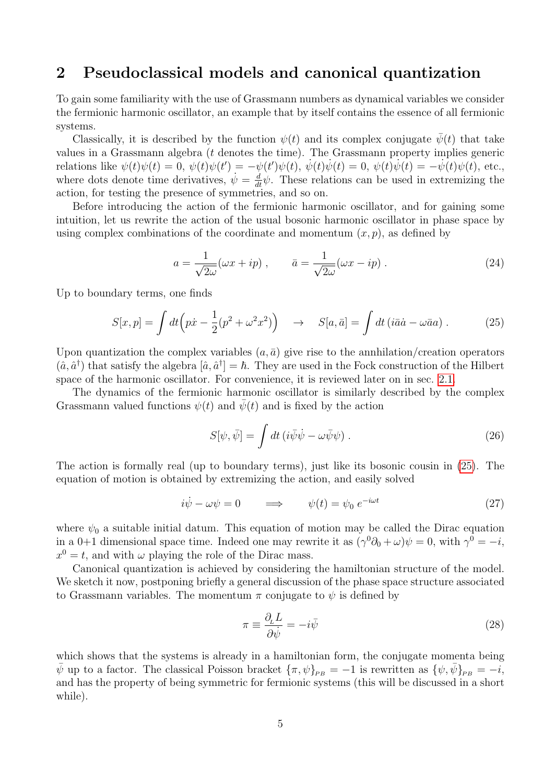## 2 Pseudoclassical models and canonical quantization

To gain some familiarity with the use of Grassmann numbers as dynamical variables we consider the fermionic harmonic oscillator, an example that by itself contains the essence of all fermionic systems.

Classically, it is described by the function  $\psi(t)$  and its complex conjugate  $\bar{\psi}(t)$  that take values in a Grassmann algebra (t denotes the time). The Grassmann property implies generic relations like  $\psi(t)\psi(t) = 0$ ,  $\psi(t)\psi(t') = -\psi(t')\psi(t)$ ,  $\dot{\psi}(t)\dot{\psi}(t) = 0$ ,  $\psi(t)\dot{\psi}(t) = -\dot{\psi}(t)\psi(t)$ , etc., where dots denote time derivatives,  $\dot{\psi} = \frac{d}{dt}\dot{\psi}$ . These relations can be used in extremizing the action, for testing the presence of symmetries, and so on.

Before introducing the action of the fermionic harmonic oscillator, and for gaining some intuition, let us rewrite the action of the usual bosonic harmonic oscillator in phase space by using complex combinations of the coordinate and momentum  $(x, p)$ , as defined by

$$
a = \frac{1}{\sqrt{2\omega}}(\omega x + ip) , \qquad \bar{a} = \frac{1}{\sqrt{2\omega}}(\omega x - ip) . \tag{24}
$$

Up to boundary terms, one finds

<span id="page-4-0"></span>
$$
S[x, p] = \int dt \left( p\dot{x} - \frac{1}{2} (p^2 + \omega^2 x^2) \right) \quad \to \quad S[a, \bar{a}] = \int dt \left( i\bar{a}\dot{a} - \omega \bar{a}a \right). \tag{25}
$$

Upon quantization the complex variables  $(a, \bar{a})$  give rise to the annhilation/creation operators  $(\hat{a}, \hat{a}^{\dagger})$  that satisfy the algebra  $[\hat{a}, \hat{a}^{\dagger}] = \hbar$ . They are used in the Fock construction of the Hilbert space of the harmonic oscillator. For convenience, it is reviewed later on in sec. [2.1.](#page-9-0)

The dynamics of the fermionic harmonic oscillator is similarly described by the complex Grassmann valued functions  $\psi(t)$  and  $\bar{\psi}(t)$  and is fixed by the action

<span id="page-4-2"></span>
$$
S[\psi, \bar{\psi}] = \int dt \left( i \bar{\psi} \dot{\psi} - \omega \bar{\psi} \psi \right).
$$
 (26)

The action is formally real (up to boundary terms), just like its bosonic cousin in [\(25\)](#page-4-0). The equation of motion is obtained by extremizing the action, and easily solved

$$
i\dot{\psi} - \omega\psi = 0 \qquad \Longrightarrow \qquad \psi(t) = \psi_0 \ e^{-i\omega t} \tag{27}
$$

where  $\psi_0$  a suitable initial datum. This equation of motion may be called the Dirac equation in a 0+1 dimensional space time. Indeed one may rewrite it as  $(\gamma^0 \partial_0 + \omega)\psi = 0$ , with  $\gamma^0 = -i$ ,  $x^0 = t$ , and with  $\omega$  playing the role of the Dirac mass.

Canonical quantization is achieved by considering the hamiltonian structure of the model. We sketch it now, postponing briefly a general discussion of the phase space structure associated to Grassmann variables. The momentum  $\pi$  conjugate to  $\psi$  is defined by

<span id="page-4-1"></span>
$$
\pi \equiv \frac{\partial_L L}{\partial \dot{\psi}} = -i\bar{\psi} \tag{28}
$$

which shows that the systems is already in a hamiltonian form, the conjugate momenta being  $\bar{\psi}$  up to a factor. The classical Poisson bracket  ${\{\pi,\psi\}}_{PB} = -1$  is rewritten as  ${\{\psi,\bar{\psi}\}}_{PB} = -i$ , and has the property of being symmetric for fermionic systems (this will be discussed in a short while).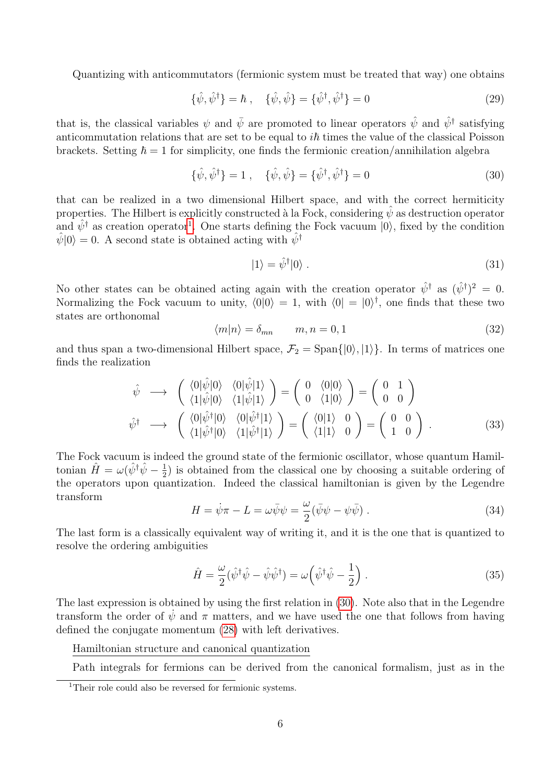Quantizing with anticommutators (fermionic system must be treated that way) one obtains

$$
\{\hat{\psi}, \hat{\psi}^{\dagger}\} = \hbar \ , \quad \{\hat{\psi}, \hat{\psi}\} = \{\hat{\psi}^{\dagger}, \hat{\psi}^{\dagger}\} = 0 \tag{29}
$$

that is, the classical variables  $\psi$  and  $\bar{\psi}$  are promoted to linear operators  $\hat{\psi}$  and  $\hat{\psi}^{\dagger}$  satisfying anticommutation relations that are set to be equal to  $i\hbar$  times the value of the classical Poisson brackets. Setting  $\hbar = 1$  for simplicity, one finds the fermionic creation/annihilation algebra

<span id="page-5-1"></span>
$$
\{\hat{\psi}, \hat{\psi}^{\dagger}\} = 1 \ , \quad \{\hat{\psi}, \hat{\psi}\} = \{\hat{\psi}^{\dagger}, \hat{\psi}^{\dagger}\} = 0 \tag{30}
$$

that can be realized in a two dimensional Hilbert space, and with the correct hermiticity properties. The Hilbert is explicitly constructed à la Fock, considering  $\psi$  as destruction operator and  $\hat{\psi}^{\dagger}$  as creation operator<sup>[1](#page-5-0)</sup>. One starts defining the Fock vacuum  $|0\rangle$ , fixed by the condition  $\hat{\psi}|0\rangle = 0$ . A second state is obtained acting with  $\hat{\psi}^{\dagger}$ 

$$
|1\rangle = \hat{\psi}^{\dagger}|0\rangle. \tag{31}
$$

No other states can be obtained acting again with the creation operator  $\hat{\psi}^{\dagger}$  as  $(\hat{\psi}^{\dagger})^2 = 0$ . Normalizing the Fock vacuum to unity,  $\langle 0|0\rangle = 1$ , with  $\langle 0| = |0\rangle^{\dagger}$ , one finds that these two states are orthonomal

$$
\langle m|n\rangle = \delta_{mn} \qquad m, n = 0, 1 \tag{32}
$$

and thus span a two-dimensional Hilbert space,  $\mathcal{F}_2 = \text{Span}\{|0\rangle, |1\rangle\}$ . In terms of matrices one finds the realization

<span id="page-5-2"></span>
$$
\hat{\psi} \longrightarrow \begin{pmatrix} \langle 0|\hat{\psi}|0\rangle & \langle 0|\hat{\psi}|1\rangle \\ \langle 1|\hat{\psi}|0\rangle & \langle 1|\hat{\psi}|1\rangle \end{pmatrix} = \begin{pmatrix} 0 & \langle 0|0\rangle \\ 0 & \langle 1|0\rangle \end{pmatrix} = \begin{pmatrix} 0 & 1 \\ 0 & 0 \end{pmatrix}
$$

$$
\hat{\psi}^{\dagger} \longrightarrow \begin{pmatrix} \langle 0|\hat{\psi}^{\dagger}|0\rangle & \langle 0|\hat{\psi}^{\dagger}|1\rangle \\ \langle 1|\hat{\psi}^{\dagger}|0\rangle & \langle 1|\hat{\psi}^{\dagger}|1\rangle \end{pmatrix} = \begin{pmatrix} \langle 0|1\rangle & 0 \\ \langle 1|1\rangle & 0 \end{pmatrix} = \begin{pmatrix} 0 & 0 \\ 1 & 0 \end{pmatrix} . \tag{33}
$$

The Fock vacuum is indeed the ground state of the fermionic oscillator, whose quantum Hamiltonian  $\hat{H} = \omega(\hat{\psi}^{\dagger}\hat{\psi} - \frac{1}{2})$  $\frac{1}{2}$ ) is obtained from the classical one by choosing a suitable ordering of the operators upon quantization. Indeed the classical hamiltonian is given by the Legendre transform

$$
H = \dot{\psi}\pi - L = \omega\bar{\psi}\psi = \frac{\omega}{2}(\bar{\psi}\psi - \psi\bar{\psi}).
$$
\n(34)

The last form is a classically equivalent way of writing it, and it is the one that is quantized to resolve the ordering ambiguities

$$
\hat{H} = \frac{\omega}{2} (\hat{\psi}^{\dagger} \hat{\psi} - \hat{\psi} \hat{\psi}^{\dagger}) = \omega \left( \hat{\psi}^{\dagger} \hat{\psi} - \frac{1}{2} \right). \tag{35}
$$

The last expression is obtained by using the first relation in [\(30\)](#page-5-1). Note also that in the Legendre transform the order of  $\dot{\psi}$  and  $\pi$  matters, and we have used the one that follows from having defined the conjugate momentum [\(28\)](#page-4-1) with left derivatives.

Hamiltonian structure and canonical quantization

Path integrals for fermions can be derived from the canonical formalism, just as in the

<span id="page-5-0"></span><sup>&</sup>lt;sup>1</sup>Their role could also be reversed for fermionic systems.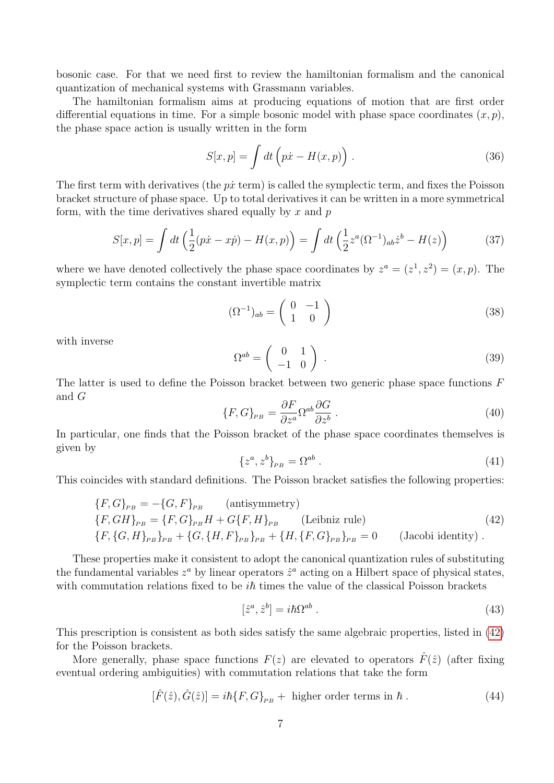bosonic case. For that we need first to review the hamiltonian formalism and the canonical quantization of mechanical systems with Grassmann variables.

The hamiltonian formalism aims at producing equations of motion that are first order differential equations in time. For a simple bosonic model with phase space coordinates  $(x, p)$ , the phase space action is usually written in the form

$$
S[x, p] = \int dt \left( p\dot{x} - H(x, p) \right). \tag{36}
$$

The first term with derivatives (the  $p\dot{x}$  term) is called the symplectic term, and fixes the Poisson bracket structure of phase space. Up to total derivatives it can be written in a more symmetrical form, with the time derivatives shared equally by  $x$  and  $p$ 

<span id="page-6-1"></span>
$$
S[x, p] = \int dt \left(\frac{1}{2}(p\dot{x} - x\dot{p}) - H(x, p)\right) = \int dt \left(\frac{1}{2}z^a (\Omega^{-1})_{ab}\dot{z}^b - H(z)\right) \tag{37}
$$

where we have denoted collectively the phase space coordinates by  $z^a = (z^1, z^2) = (x, p)$ . The symplectic term contains the constant invertible matrix

$$
(\Omega^{-1})_{ab} = \begin{pmatrix} 0 & -1 \\ 1 & 0 \end{pmatrix} \tag{38}
$$

with inverse

$$
\Omega^{ab} = \begin{pmatrix} 0 & 1 \\ -1 & 0 \end{pmatrix} . \tag{39}
$$

The latter is used to define the Poisson bracket between two generic phase space functions  $F$ and G

$$
\{F, G\}_{PB} = \frac{\partial F}{\partial z^a} \Omega^{ab} \frac{\partial G}{\partial z^b} . \tag{40}
$$

In particular, one finds that the Poisson bracket of the phase space coordinates themselves is given by

$$
\{z^a, z^b\}_{PB} = \Omega^{ab} . \tag{41}
$$

This coincides with standard definitions. The Poisson bracket satisfies the following properties:

<span id="page-6-0"></span>
$$
\{F, G\}_{PB} = -\{G, F\}_{PB} \qquad \text{(antisymmetry)}
$$
\n
$$
\{F, GH\}_{PB} = \{F, G\}_{PB}H + G\{F, H\}_{PB} \qquad \text{(Leibniz rule)}
$$
\n
$$
\{F, \{G, H\}_{PB}\}_{PB} + \{G, \{H, F\}_{PB}\}_{PB} + \{H, \{F, G\}_{PB}\}_{PB} = 0 \qquad \text{(Jacobi identity)}.
$$
\n(42)

These properties make it consistent to adopt the canonical quantization rules of substituting the fundamental variables  $z^a$  by linear operators  $\hat{z}^a$  acting on a Hilbert space of physical states, with commutation relations fixed to be  $i\hbar$  times the value of the classical Poisson brackets

$$
[\hat{z}^a, \hat{z}^b] = i\hbar\Omega^{ab} \,. \tag{43}
$$

This prescription is consistent as both sides satisfy the same algebraic properties, listed in [\(42\)](#page-6-0) for the Poisson brackets.

More generally, phase space functions  $F(z)$  are elevated to operators  $\hat{F}(\hat{z})$  (after fixing eventual ordering ambiguities) with commutation relations that take the form

$$
[\hat{F}(\hat{z}), \hat{G}(\hat{z})] = i\hbar \{F, G\}_{PB} + \text{ higher order terms in } \hbar. \tag{44}
$$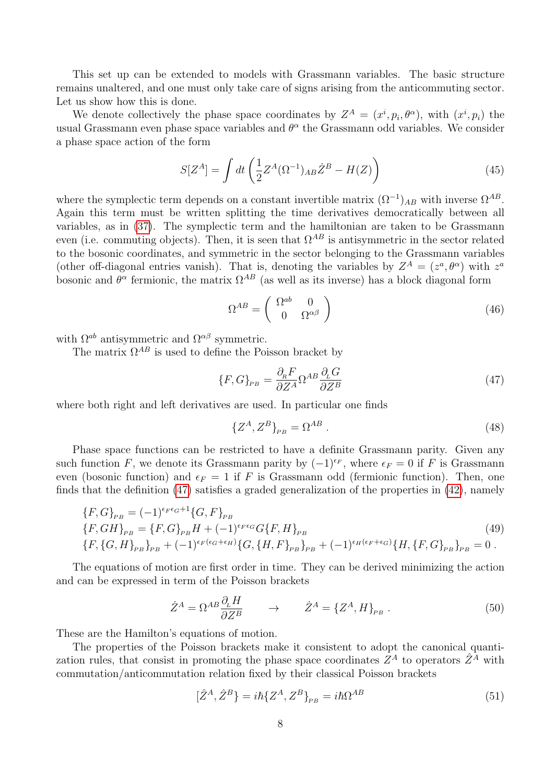This set up can be extended to models with Grassmann variables. The basic structure remains unaltered, and one must only take care of signs arising from the anticommuting sector. Let us show how this is done.

We denote collectively the phase space coordinates by  $Z^A = (x^i, p_i, \theta^{\alpha})$ , with  $(x^i, p_i)$  the usual Grassmann even phase space variables and  $\theta^{\alpha}$  the Grassmann odd variables. We consider a phase space action of the form

$$
S[Z^A] = \int dt \left(\frac{1}{2}Z^A (\Omega^{-1})_{AB}\dot{Z}^B - H(Z)\right)
$$
\n(45)

where the symplectic term depends on a constant invertible matrix  $(\Omega^{-1})_{AB}$  with inverse  $\Omega^{AB}$ . Again this term must be written splitting the time derivatives democratically between all variables, as in [\(37\)](#page-6-1). The symplectic term and the hamiltonian are taken to be Grassmann even (i.e. commuting objects). Then, it is seen that  $\Omega^{AB}$  is antisymmetric in the sector related to the bosonic coordinates, and symmetric in the sector belonging to the Grassmann variables (other off-diagonal entries vanish). That is, denoting the variables by  $Z^A = (z^a, \theta^{\alpha})$  with  $z^a$ bosonic and  $\theta^{\alpha}$  fermionic, the matrix  $\Omega^{AB}$  (as well as its inverse) has a block diagonal form

$$
\Omega^{AB} = \begin{pmatrix} \Omega^{ab} & 0\\ 0 & \Omega^{\alpha\beta} \end{pmatrix} \tag{46}
$$

with  $\Omega^{ab}$  antisymmetric and  $\Omega^{\alpha\beta}$  symmetric.

The matrix  $\Omega^{AB}$  is used to define the Poisson bracket by

<span id="page-7-0"></span>
$$
\{F, G\}_{PB} = \frac{\partial_{\kappa} F}{\partial Z^A} \Omega^{AB} \frac{\partial_{\kappa} G}{\partial Z^B}
$$
\n(47)

where both right and left derivatives are used. In particular one finds

$$
\{Z^A, Z^B\}_{PB} = \Omega^{AB} . \tag{48}
$$

Phase space functions can be restricted to have a definite Grassmann parity. Given any such function F, we denote its Grassmann parity by  $(-1)^{\epsilon_F}$ , where  $\epsilon_F = 0$  if F is Grassmann even (bosonic function) and  $\epsilon_F = 1$  if F is Grassmann odd (fermionic function). Then, one finds that the definition  $(47)$  satisfies a graded generalization of the properties in  $(42)$ , namely

<span id="page-7-1"></span>
$$
\{F,G\}_{PB} = (-1)^{\epsilon_F \epsilon_G+1} \{G,F\}_{PB}
$$
\n
$$
\{F,GH\}_{PB} = \{F,G\}_{PB}H + (-1)^{\epsilon_F \epsilon_G} G\{F,H\}_{PB}
$$
\n
$$
\{F,\{G,H\}_{PB}\}_{PB} + (-1)^{\epsilon_F(\epsilon_G+\epsilon_H)} \{G,\{H,F\}_{PB}\}_{PB} + (-1)^{\epsilon_H(\epsilon_F+\epsilon_G)} \{H,\{F,G\}_{PB}\}_{PB} = 0.
$$
\n
$$
(49)
$$

The equations of motion are first order in time. They can be derived minimizing the action and can be expressed in term of the Poisson brackets

$$
\dot{Z}^A = \Omega^{AB} \frac{\partial_L H}{\partial Z^B} \qquad \to \qquad \dot{Z}^A = \{Z^A, H\}_{PB} \ . \tag{50}
$$

These are the Hamilton's equations of motion.

The properties of the Poisson brackets make it consistent to adopt the canonical quantization rules, that consist in promoting the phase space coordinates  $Z^A$  to operators  $\hat{Z}^{\tilde{A}}$  with commutation/anticommutation relation fixed by their classical Poisson brackets

$$
\left[\hat{Z}^A, \hat{Z}^B\right] = i\hbar \{Z^A, Z^B\}_{PB} = i\hbar \Omega^{AB} \tag{51}
$$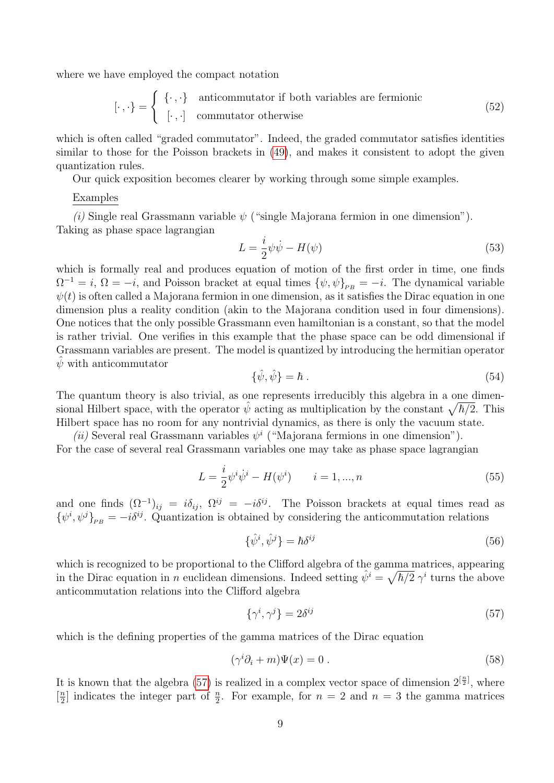where we have employed the compact notation

$$
[\cdot, \cdot] = \begin{cases} {\{\cdot, \cdot\}} & \text{anticommutator if both variables are fermionic} \\ {\{\cdot, \cdot\}} & \text{commutator otherwise} \end{cases}
$$
(52)

which is often called "graded commutator". Indeed, the graded commutator satisfies identities similar to those for the Poisson brackets in [\(49\)](#page-7-1), and makes it consistent to adopt the given quantization rules.

Our quick exposition becomes clearer by working through some simple examples.

### Examples

(i) Single real Grassmann variable  $\psi$  ("single Majorana fermion in one dimension"). Taking as phase space lagrangian

$$
L = \frac{i}{2}\psi\dot{\psi} - H(\psi) \tag{53}
$$

which is formally real and produces equation of motion of the first order in time, one finds  $\Omega^{-1} = i$ ,  $\Omega = -i$ , and Poisson bracket at equal times  $\{\psi, \psi\}_{PB} = -i$ . The dynamical variable  $\psi(t)$  is often called a Majorana fermion in one dimension, as it satisfies the Dirac equation in one dimension plus a reality condition (akin to the Majorana condition used in four dimensions). One notices that the only possible Grassmann even hamiltonian is a constant, so that the model is rather trivial. One verifies in this example that the phase space can be odd dimensional if Grassmann variables are present. The model is quantized by introducing the hermitian operator  $\hat{\psi}$  with anticommutator

$$
\{\hat{\psi}, \hat{\psi}\} = \hbar \tag{54}
$$

The quantum theory is also trivial, as one represents irreducibly this algebra in a one dimensional Hilbert space, with the operator  $\hat{\psi}$  acting as multiplication by the constant  $\sqrt{\hbar/2}$ . This Hilbert space has no room for any nontrivial dynamics, as there is only the vacuum state.

(ii) Several real Grassmann variables  $\psi^i$  ("Majorana fermions in one dimension"). For the case of several real Grassmann variables one may take as phase space lagrangian

$$
L = \frac{i}{2} \psi^i \dot{\psi}^i - H(\psi^i) \qquad i = 1, ..., n
$$
\n(55)

and one finds  $(\Omega^{-1})_{ij} = i\delta_{ij}, \ \Omega^{ij} = -i\delta^{ij}$ . The Poisson brackets at equal times read as  $\{\psi^i, \psi^j\}_{PB} = -i\delta^{ij}$ . Quantization is obtained by considering the anticommutation relations

$$
\{\hat{\psi}^i, \hat{\psi}^j\} = \hbar \delta^{ij} \tag{56}
$$

which is recognized to be proportional to the Clifford algebra of the gamma matrices, appearing in the Dirac equation in n euclidean dimensions. Indeed setting  $\hat{\psi}^i = \sqrt{\hbar/2} \gamma^i$  turns the above anticommutation relations into the Clifford algebra

<span id="page-8-0"></span>
$$
\{\gamma^i, \gamma^j\} = 2\delta^{ij} \tag{57}
$$

which is the defining properties of the gamma matrices of the Dirac equation

$$
(\gamma^i \partial_i + m)\Psi(x) = 0.
$$
\n(58)

It is known that the algebra [\(57\)](#page-8-0) is realized in a complex vector space of dimension  $2^{\lceil \frac{n}{2} \rceil}$ , where  $\left[\frac{n}{2}\right]$  $\frac{n}{2}$  indicates the integer part of  $\frac{n}{2}$ . For example, for  $n = 2$  and  $n = 3$  the gamma matrices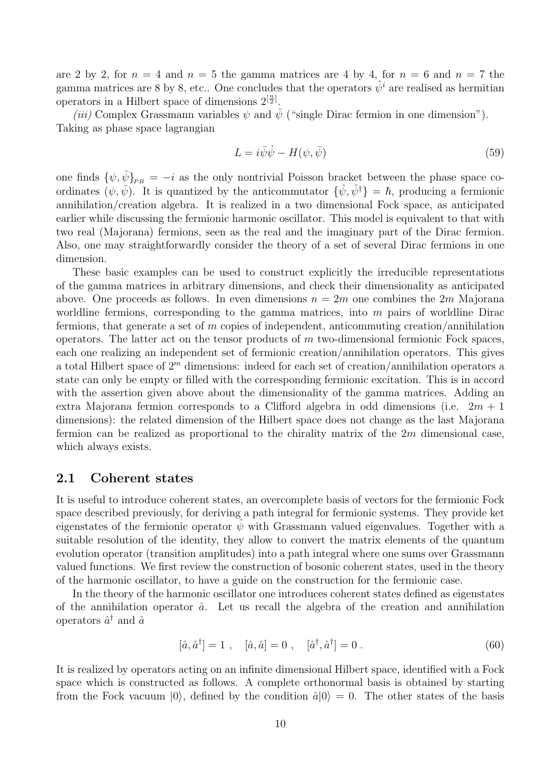are 2 by 2, for  $n = 4$  and  $n = 5$  the gamma matrices are 4 by 4, for  $n = 6$  and  $n = 7$  the gamma matrices are 8 by 8, etc.. One concludes that the operators  $\hat{\psi}^i$  are realised as hermitian operators in a Hilbert space of dimensions  $2^{\left[\frac{n}{2}\right]}$ .

(iii) Complex Grassmann variables  $\psi$  and  $\psi$  ("single Dirac fermion in one dimension"). Taking as phase space lagrangian

$$
L = i\bar{\psi}\dot{\psi} - H(\psi, \bar{\psi})\tag{59}
$$

one finds  $\{\psi,\bar{\psi}\}_{PB} = -i$  as the only nontrivial Poisson bracket between the phase space coordinates  $(\psi, \bar{\psi})$ . It is quantized by the anticommutator  $\{\hat{\psi}, \hat{\psi}^{\dagger}\} = \hbar$ , producing a fermionic annihilation/creation algebra. It is realized in a two dimensional Fock space, as anticipated earlier while discussing the fermionic harmonic oscillator. This model is equivalent to that with two real (Majorana) fermions, seen as the real and the imaginary part of the Dirac fermion. Also, one may straightforwardly consider the theory of a set of several Dirac fermions in one dimension.

These basic examples can be used to construct explicitly the irreducible representations of the gamma matrices in arbitrary dimensions, and check their dimensionality as anticipated above. One proceeds as follows. In even dimensions  $n = 2m$  one combines the 2m Majorana worldline fermions, corresponding to the gamma matrices, into  $m$  pairs of worldline Dirac fermions, that generate a set of  $m$  copies of independent, anticommuting creation/annihilation operators. The latter act on the tensor products of  $m$  two-dimensional fermionic Fock spaces, each one realizing an independent set of fermionic creation/annihilation operators. This gives a total Hilbert space of  $2<sup>m</sup>$  dimensions: indeed for each set of creation/annihilation operators a state can only be empty or filled with the corresponding fermionic excitation. This is in accord with the assertion given above about the dimensionality of the gamma matrices. Adding an extra Majorana fermion corresponds to a Clifford algebra in odd dimensions (i.e.  $2m + 1$ dimensions): the related dimension of the Hilbert space does not change as the last Majorana fermion can be realized as proportional to the chirality matrix of the  $2m$  dimensional case, which always exists.

### <span id="page-9-0"></span>2.1 Coherent states

It is useful to introduce coherent states, an overcomplete basis of vectors for the fermionic Fock space described previously, for deriving a path integral for fermionic systems. They provide ket eigenstates of the fermionic operator  $\psi$  with Grassmann valued eigenvalues. Together with a suitable resolution of the identity, they allow to convert the matrix elements of the quantum evolution operator (transition amplitudes) into a path integral where one sums over Grassmann valued functions. We first review the construction of bosonic coherent states, used in the theory of the harmonic oscillator, to have a guide on the construction for the fermionic case.

In the theory of the harmonic oscillator one introduces coherent states defined as eigenstates of the annihilation operator  $\hat{a}$ . Let us recall the algebra of the creation and annihilation operators  $\hat{a}^\dagger$  and  $\hat{a}$ 

<span id="page-9-1"></span>
$$
[\hat{a}, \hat{a}^{\dagger}] = 1 \ , \quad [\hat{a}, \hat{a}] = 0 \ , \quad [\hat{a}^{\dagger}, \hat{a}^{\dagger}] = 0 \ . \tag{60}
$$

It is realized by operators acting on an infinite dimensional Hilbert space, identified with a Fock space which is constructed as follows. A complete orthonormal basis is obtained by starting from the Fock vacuum  $|0\rangle$ , defined by the condition  $\hat{a}|0\rangle = 0$ . The other states of the basis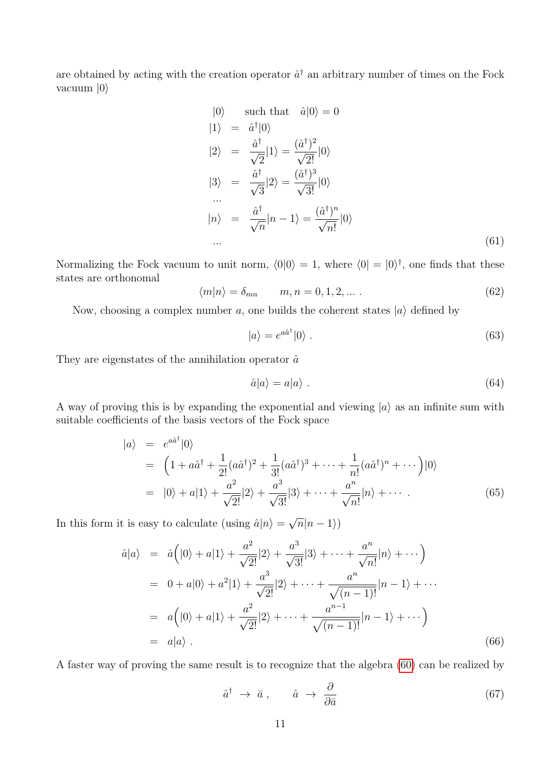are obtained by acting with the creation operator  $\hat{a}^{\dagger}$  an arbitrary number of times on the Fock vacuum  $|0\rangle$ 

$$
|0\rangle \quad \text{such that} \quad \hat{a}|0\rangle = 0
$$
  
\n
$$
|1\rangle = \hat{a}^{\dagger}|0\rangle
$$
  
\n
$$
|2\rangle = \frac{\hat{a}^{\dagger}}{\sqrt{2}}|1\rangle = \frac{(\hat{a}^{\dagger})^2}{\sqrt{2!}}|0\rangle
$$
  
\n
$$
|3\rangle = \frac{\hat{a}^{\dagger}}{\sqrt{3}}|2\rangle = \frac{(\hat{a}^{\dagger})^3}{\sqrt{3!}}|0\rangle
$$
  
\n...  
\n
$$
|n\rangle = \frac{\hat{a}^{\dagger}}{\sqrt{n}}|n-1\rangle = \frac{(\hat{a}^{\dagger})^n}{\sqrt{n!}}|0\rangle
$$
  
\n... (61)

Normalizing the Fock vacuum to unit norm,  $\langle 0|0\rangle = 1$ , where  $\langle 0| = |0\rangle^{\dagger}$ , one finds that these states are orthonomal

$$
\langle m|n\rangle = \delta_{mn} \qquad m, n = 0, 1, 2, \dots \,. \tag{62}
$$

Now, choosing a complex number a, one builds the coherent states  $|a\rangle$  defined by

$$
|a\rangle = e^{a\hat{a}^{\dagger}}|0\rangle. \tag{63}
$$

They are eigenstates of the annihilation operator  $\hat{a}$ 

$$
\hat{a}|a\rangle = a|a\rangle . \tag{64}
$$

A way of proving this is by expanding the exponential and viewing  $|a\rangle$  as an infinite sum with suitable coefficients of the basis vectors of the Fock space

$$
|a\rangle = e^{a\hat{a}^{\dagger}}|0\rangle
$$
  
=  $\left(1 + a\hat{a}^{\dagger} + \frac{1}{2!}(a\hat{a}^{\dagger})^2 + \frac{1}{3!}(a\hat{a}^{\dagger})^3 + \dots + \frac{1}{n!}(a\hat{a}^{\dagger})^n + \dots\right)|0\rangle$   
=  $|0\rangle + a|1\rangle + \frac{a^2}{\sqrt{2!}}|2\rangle + \frac{a^3}{\sqrt{3!}}|3\rangle + \dots + \frac{a^n}{\sqrt{n!}}|n\rangle + \dots$  (65)

In this form it is easy to calculate (using  $\hat{a}|n\rangle =$ √  $\overline{n}|n-1\rangle)$ 

$$
\hat{a}|a\rangle = \hat{a}(|0\rangle + a|1\rangle + \frac{a^2}{\sqrt{2!}}|2\rangle + \frac{a^3}{\sqrt{3!}}|3\rangle + \dots + \frac{a^n}{\sqrt{n!}}|n\rangle + \dots)
$$
  
\n
$$
= 0 + a|0\rangle + a^2|1\rangle + \frac{a^3}{\sqrt{2!}}|2\rangle + \dots + \frac{a^n}{\sqrt{(n-1)!}}|n-1\rangle + \dots
$$
  
\n
$$
= a(|0\rangle + a|1\rangle + \frac{a^2}{\sqrt{2!}}|2\rangle + \dots + \frac{a^{n-1}}{\sqrt{(n-1)!}}|n-1\rangle + \dots)
$$
  
\n
$$
= a|a\rangle . \qquad (66)
$$

A faster way of proving the same result is to recognize that the algebra [\(60\)](#page-9-1) can be realized by

$$
\hat{a}^{\dagger} \to \bar{a} \,, \qquad \hat{a} \to \frac{\partial}{\partial \bar{a}} \tag{67}
$$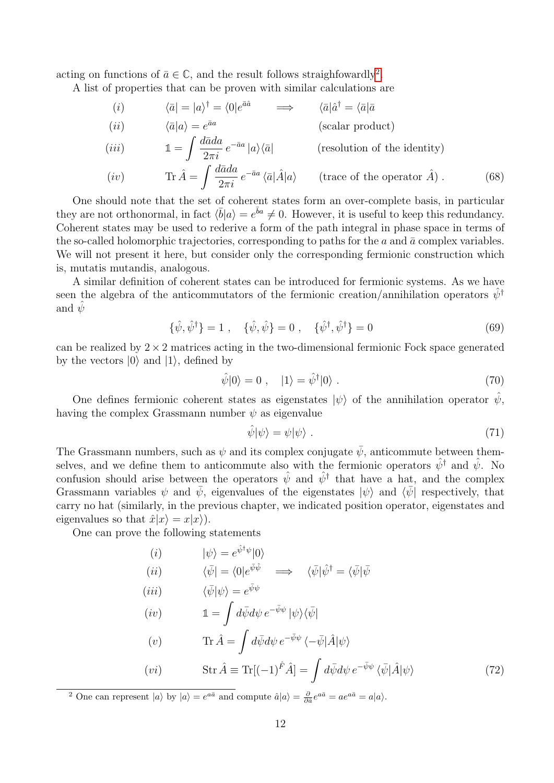acting on functions of  $\bar{a} \in \mathbb{C}$ , and the result follows straighfowardly<sup>[2](#page-11-0)</sup>.

A list of properties that can be proven with similar calculations are

$$
\begin{array}{ll}\n(i) & \langle \bar{a} | = |a \rangle^{\dagger} = \langle 0 | e^{\bar{a}\hat{a}} & \implies & \langle \bar{a} | \hat{a}^{\dagger} = \langle \bar{a} | \bar{a} \\
(ii) & \langle \bar{a} | a \rangle = e^{\bar{a}a} & \text{(scalar product)} \\
(iii) & \mathbb{1} = \int \frac{d\bar{a}da}{2\pi i} \, e^{-\bar{a}a} \, |a \rangle \langle \bar{a}| & \text{(resolution of the identity)}\n\end{array}
$$

(iv) Tr Aˆ = Z dada ¯ 2πi e −aa¯ ha¯|Aˆ|ai (trace of the operator Aˆ) . (68)

One should note that the set of coherent states form an over-complete basis, in particular they are not orthonormal, in fact  $\langle \bar{b} | a \rangle = e^{\bar{b}a} \neq 0$ . However, it is useful to keep this redundancy. Coherent states may be used to rederive a form of the path integral in phase space in terms of the so-called holomorphic trajectories, corresponding to paths for the  $a$  and  $\bar{a}$  complex variables. We will not present it here, but consider only the corresponding fermionic construction which is, mutatis mutandis, analogous.

A similar definition of coherent states can be introduced for fermionic systems. As we have seen the algebra of the anticommutators of the fermionic creation/annihilation operators  $\psi^{\dagger}$ and  $\psi$ 

<span id="page-11-1"></span>
$$
\{\hat{\psi}, \hat{\psi}^{\dagger}\} = 1 \ , \quad \{\hat{\psi}, \hat{\psi}\} = 0 \ , \quad \{\hat{\psi}^{\dagger}, \hat{\psi}^{\dagger}\} = 0 \tag{69}
$$

can be realized by  $2 \times 2$  matrices acting in the two-dimensional fermionic Fock space generated by the vectors  $|0\rangle$  and  $|1\rangle$ , defined by

$$
\hat{\psi}|0\rangle = 0 \;, \quad |1\rangle = \hat{\psi}^{\dagger}|0\rangle \;.
$$
\n<sup>(70)</sup>

One defines fermionic coherent states as eigenstates  $|\psi\rangle$  of the annihilation operator  $\psi$ , having the complex Grassmann number  $\psi$  as eigenvalue

$$
\hat{\psi}|\psi\rangle = \psi|\psi\rangle \tag{71}
$$

The Grassmann numbers, such as  $\psi$  and its complex conjugate  $\bar{\psi}$ , anticommute between themselves, and we define them to anticommute also with the fermionic operators  $\hat{\psi}^{\dagger}$  and  $\hat{\psi}$ . No confusion should arise between the operators  $\hat{\psi}$  and  $\hat{\psi}^{\dagger}$  that have a hat, and the complex Grassmann variables  $\psi$  and  $\bar{\psi}$ , eigenvalues of the eigenstates  $|\psi\rangle$  and  $\langle \bar{\psi}|$  respectively, that carry no hat (similarly, in the previous chapter, we indicated position operator, eigenstates and eigenvalues so that  $\hat{x}|x\rangle = x|x\rangle$ ).

 $\hat{z}$ +

One can prove the following statements

(i) 
$$
|\psi\rangle = e^{\psi \cdot \psi} |0\rangle
$$
  
\n(ii)  $\langle \bar{\psi} | = \langle 0 | e^{\bar{\psi}\hat{\psi}} \rangle \implies \langle \bar{\psi} | \hat{\psi}^{\dagger} = \langle \bar{\psi} | \bar{\psi} \rangle$   
\n(iii)  $\langle \bar{\psi} | \psi \rangle = e^{\bar{\psi}\psi}$   
\n(iv)  $\mathbb{1} = \int d\bar{\psi} d\psi \, e^{-\bar{\psi}\psi} | \psi \rangle \langle \bar{\psi} |$   
\n(v)  $\text{Tr} \hat{A} = \int d\bar{\psi} d\psi \, e^{-\bar{\psi}\psi} \langle -\bar{\psi} | \hat{A} | \psi \rangle$   
\n(vi)  $\text{Str} \hat{A} \equiv \text{Tr}[(-1)^{\hat{F}} \hat{A}] = \int d\bar{\psi} d\psi \, e^{-\bar{\psi}\psi} \langle \bar{\psi} | \hat{A} | \psi \rangle$  (72)

<span id="page-11-0"></span><sup>2</sup> One can represent  $|a\rangle$  by  $|a\rangle = e^{a\bar{a}}$  and compute  $\hat{a}|a\rangle = \frac{\partial}{\partial \bar{a}}e^{a\bar{a}} = ae^{a\bar{a}} = a|a\rangle$ .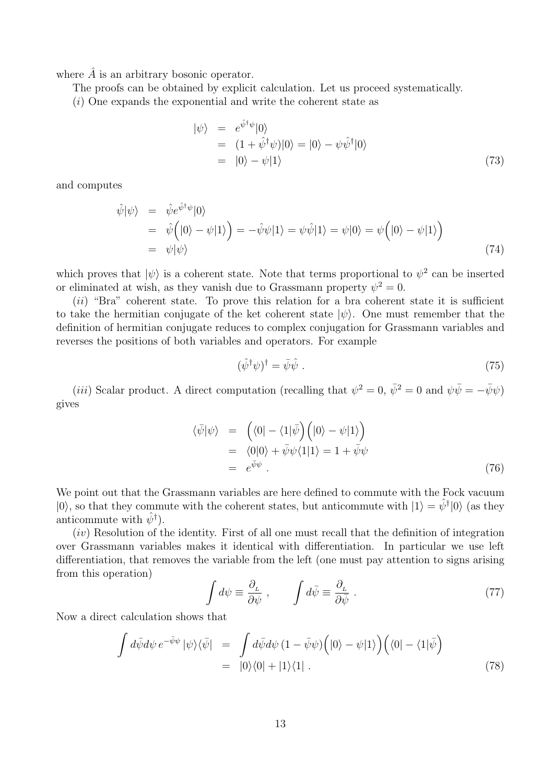where  $\hat{A}$  is an arbitrary bosonic operator.

The proofs can be obtained by explicit calculation. Let us proceed systematically.

(i) One expands the exponential and write the coherent state as

$$
\begin{aligned}\n|\psi\rangle &= e^{\hat{\psi}^\dagger \psi} |0\rangle \\
&= (1 + \hat{\psi}^\dagger \psi) |0\rangle = |0\rangle - \psi \hat{\psi}^\dagger |0\rangle \\
&= |0\rangle - \psi |1\rangle\n\end{aligned} \tag{73}
$$

and computes

$$
\begin{aligned}\n\hat{\psi}|\psi\rangle &= \hat{\psi}e^{\hat{\psi}^\dagger\psi}|0\rangle \\
&= \hat{\psi}\Big(|0\rangle - \psi|1\rangle\Big) = -\hat{\psi}\psi|1\rangle = \psi\hat{\psi}|1\rangle = \psi|0\rangle = \psi\Big(|0\rangle - \psi|1\rangle\Big) \\
&= \psi|\psi\rangle\n\end{aligned} \tag{74}
$$

which proves that  $|\psi\rangle$  is a coherent state. Note that terms proportional to  $\psi^2$  can be inserted or eliminated at wish, as they vanish due to Grassmann property  $\psi^2 = 0$ .

 $(ii)$  "Bra" coherent state. To prove this relation for a bra coherent state it is sufficient to take the hermitian conjugate of the ket coherent state  $|\psi\rangle$ . One must remember that the definition of hermitian conjugate reduces to complex conjugation for Grassmann variables and reverses the positions of both variables and operators. For example

$$
(\hat{\psi}^{\dagger}\psi)^{\dagger} = \bar{\psi}\hat{\psi} \tag{75}
$$

(*iii*) Scalar product. A direct computation (recalling that  $\psi^2 = 0$ ,  $\bar{\psi}^2 = 0$  and  $\psi \bar{\psi} = -\bar{\psi}\psi$ ) gives

$$
\langle \bar{\psi} | \psi \rangle = \left( \langle 0 | - \langle 1 | \bar{\psi} \rangle \left( | 0 \rangle - \psi | 1 \rangle \right) \right)
$$
  
= 
$$
\langle 0 | 0 \rangle + \bar{\psi} \psi \langle 1 | 1 \rangle = 1 + \bar{\psi} \psi
$$
  
= 
$$
e^{\bar{\psi} \psi} .
$$
 (76)

We point out that the Grassmann variables are here defined to commute with the Fock vacuum  $|0\rangle$ , so that they commute with the coherent states, but anticommute with  $|1\rangle = \hat{\psi}^{\dagger} |0\rangle$  (as they anticommute with  $\hat{\psi}^{\dagger}$ ).

 $(iv)$  Resolution of the identity. First of all one must recall that the definition of integration over Grassmann variables makes it identical with differentiation. In particular we use left differentiation, that removes the variable from the left (one must pay attention to signs arising from this operation)

$$
\int d\psi \equiv \frac{\partial_L}{\partial \psi} , \qquad \int d\bar{\psi} \equiv \frac{\partial_L}{\partial \bar{\psi}} . \tag{77}
$$

Now a direct calculation shows that

$$
\int d\bar{\psi} d\psi \, e^{-\bar{\psi}\psi} \, |\psi\rangle\langle\bar{\psi}| = \int d\bar{\psi} d\psi \, (1 - \bar{\psi}\psi) \Big( |0\rangle - \psi |1\rangle \Big) \Big( \langle 0| - \langle 1|\bar{\psi} \rangle \Big) \n= |0\rangle\langle 0| + |1\rangle\langle 1| .
$$
\n(78)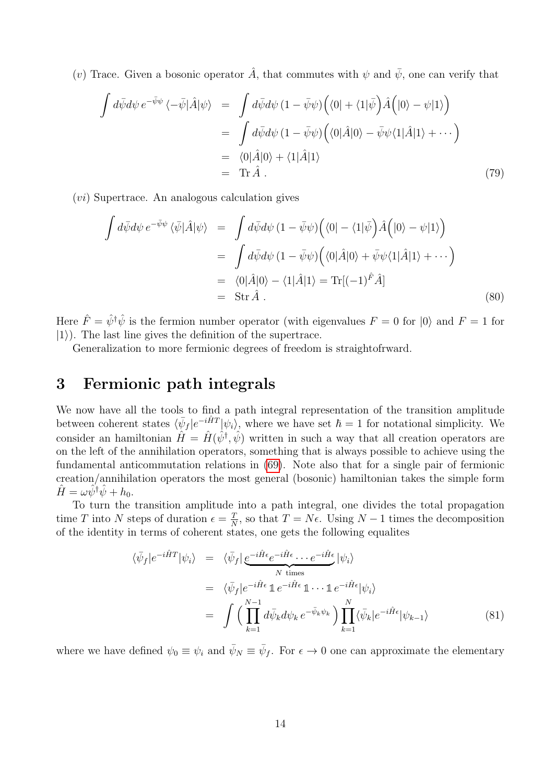(v) Trace. Given a bosonic operator  $\hat{A}$ , that commutes with  $\psi$  and  $\bar{\psi}$ , one can verify that

$$
\int d\bar{\psi} d\psi e^{-\bar{\psi}\psi} \langle -\bar{\psi} | \hat{A} | \psi \rangle = \int d\bar{\psi} d\psi (1 - \bar{\psi}\psi) \Big( \langle 0 | + \langle 1 | \bar{\psi} \rangle \hat{A} \Big( | 0 \rangle - \psi | 1 \rangle \Big)
$$
  
\n
$$
= \int d\bar{\psi} d\psi (1 - \bar{\psi}\psi) \Big( \langle 0 | \hat{A} | 0 \rangle - \bar{\psi}\psi \langle 1 | \hat{A} | 1 \rangle + \cdots \Big)
$$
  
\n
$$
= \langle 0 | \hat{A} | 0 \rangle + \langle 1 | \hat{A} | 1 \rangle
$$
  
\n
$$
= \text{Tr} \,\hat{A} . \tag{79}
$$

(vi) Supertrace. An analogous calculation gives

$$
\int d\bar{\psi} d\psi e^{-\bar{\psi}\psi} \langle \bar{\psi} | \hat{A} | \psi \rangle = \int d\bar{\psi} d\psi (1 - \bar{\psi}\psi) \Big( \langle 0 | - \langle 1 | \bar{\psi} \rangle \Big) \hat{A} \Big( |0 \rangle - \psi | 1 \rangle \Big)
$$
  
\n
$$
= \int d\bar{\psi} d\psi (1 - \bar{\psi}\psi) \Big( \langle 0 | \hat{A} | 0 \rangle + \bar{\psi}\psi \langle 1 | \hat{A} | 1 \rangle + \cdots \Big)
$$
  
\n
$$
= \langle 0 | \hat{A} | 0 \rangle - \langle 1 | \hat{A} | 1 \rangle = \text{Tr} [(-1)^{\hat{F}} \hat{A}]
$$
  
\n
$$
= \text{Str } \hat{A} .
$$
 (80)

Here  $\hat{F} = \hat{\psi}^{\dagger} \hat{\psi}$  is the fermion number operator (with eigenvalues  $F = 0$  for  $|0\rangle$  and  $F = 1$  for  $|1\rangle$ ). The last line gives the definition of the supertrace.

Generalization to more fermionic degrees of freedom is straightofrward.

## 3 Fermionic path integrals

We now have all the tools to find a path integral representation of the transition amplitude between coherent states  $\langle \bar{\psi}_f | e^{-i\hat{H}T} | \psi_i \rangle$ , where we have set  $\hbar = 1$  for notational simplicity. We consider an hamiltonian  $\hat{H} = \hat{H}(\hat{\psi}^{\dagger}, \hat{\psi})$  written in such a way that all creation operators are on the left of the annihilation operators, something that is always possible to achieve using the fundamental anticommutation relations in [\(69\)](#page-11-1). Note also that for a single pair of fermionic creation/annihilation operators the most general (bosonic) hamiltonian takes the simple form  $\hat{H} = \omega \hat{\psi}^{\dagger} \hat{\psi} + h_0.$ 

To turn the transition amplitude into a path integral, one divides the total propagation time T into N steps of duration  $\epsilon = \frac{T}{\lambda}$  $\frac{T}{N}$ , so that  $T = N\epsilon$ . Using  $N - 1$  times the decomposition of the identity in terms of coherent states, one gets the following equalites

<span id="page-13-0"></span>
$$
\langle \bar{\psi}_f | e^{-i\hat{H}T} | \psi_i \rangle = \langle \bar{\psi}_f | \underbrace{e^{-i\hat{H}\epsilon} e^{-i\hat{H}\epsilon} \cdots e^{-i\hat{H}\epsilon}}_{N \text{ times}} | \psi_i \rangle
$$
  
\n
$$
= \langle \bar{\psi}_f | e^{-i\hat{H}\epsilon} \mathbb{1} e^{-i\hat{H}\epsilon} \mathbb{1} \cdots \mathbb{1} e^{-i\hat{H}\epsilon} | \psi_i \rangle
$$
  
\n
$$
= \int \left( \prod_{k=1}^{N-1} d\bar{\psi}_k d\psi_k e^{-\bar{\psi}_k \psi_k} \right) \prod_{k=1}^{N} \langle \bar{\psi}_k | e^{-i\hat{H}\epsilon} | \psi_{k-1} \rangle
$$
 (81)

where we have defined  $\psi_0 \equiv \psi_i$  and  $\bar{\psi}_N \equiv \bar{\psi}_f$ . For  $\epsilon \to 0$  one can approximate the elementary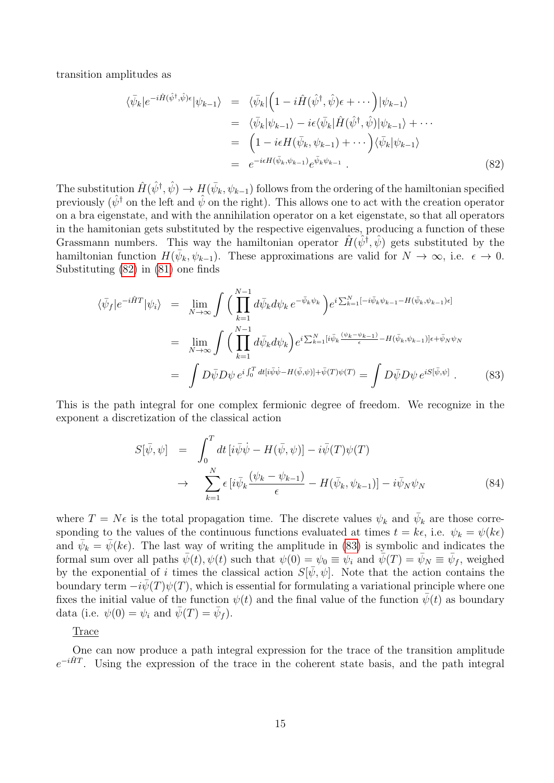transition amplitudes as

<span id="page-14-0"></span>
$$
\langle \bar{\psi}_k | e^{-i\hat{H}(\hat{\psi}^\dagger, \hat{\psi})\epsilon} | \psi_{k-1} \rangle = \langle \bar{\psi}_k | \left( 1 - i\hat{H}(\hat{\psi}^\dagger, \hat{\psi})\epsilon + \cdots \right) | \psi_{k-1} \rangle \n= \langle \bar{\psi}_k | \psi_{k-1} \rangle - i\epsilon \langle \bar{\psi}_k | \hat{H}(\hat{\psi}^\dagger, \hat{\psi}) | \psi_{k-1} \rangle + \cdots \n= \left( 1 - i\epsilon H(\bar{\psi}_k, \psi_{k-1}) + \cdots \right) \langle \bar{\psi}_k | \psi_{k-1} \rangle \n= e^{-i\epsilon H(\bar{\psi}_k, \psi_{k-1})} e^{\bar{\psi}_k \psi_{k-1}}.
$$
\n(82)

The substitution  $\hat{H}(\hat{\psi}^{\dagger}, \hat{\psi}) \to H(\bar{\psi}_k, \psi_{k-1})$  follows from the ordering of the hamiltonian specified previously  $(\hat{\psi}^{\dagger})$  on the left and  $\hat{\psi}$  on the right). This allows one to act with the creation operator on a bra eigenstate, and with the annihilation operator on a ket eigenstate, so that all operators in the hamitonian gets substituted by the respective eigenvalues, producing a function of these Grassmann numbers. This way the hamiltonian operator  $\hat{H}(\hat{\psi}^{\dagger}, \hat{\psi})$  gets substituted by the hamiltonian function  $H(\bar{\psi}_k, \psi_{k-1})$ . These approximations are valid for  $N \to \infty$ , i.e.  $\epsilon \to 0$ . Substituting [\(82\)](#page-14-0) in [\(81\)](#page-13-0) one finds

<span id="page-14-1"></span>
$$
\langle \bar{\psi}_f | e^{-i\hat{H}T} | \psi_i \rangle = \lim_{N \to \infty} \int \Big( \prod_{k=1}^{N-1} d\bar{\psi}_k d\psi_k \, e^{-\bar{\psi}_k \psi_k} \Big) e^{i \sum_{k=1}^N [-i\bar{\psi}_k \psi_{k-1} - H(\bar{\psi}_k, \psi_{k-1})\epsilon]} \n= \lim_{N \to \infty} \int \Big( \prod_{k=1}^{N-1} d\bar{\psi}_k d\psi_k \Big) e^{i \sum_{k=1}^N [i\bar{\psi}_k \frac{(\psi_k - \psi_{k-1})}{\epsilon} - H(\bar{\psi}_k, \psi_{k-1})]\epsilon + \bar{\psi}_N \psi_N} \n= \int D\bar{\psi} D\psi \, e^{i \int_0^T dt [i\bar{\psi}\dot{\psi} - H(\bar{\psi}, \psi)] + \bar{\psi}(T)\psi(T)} = \int D\bar{\psi} D\psi \, e^{i S[\bar{\psi}, \psi]} .
$$
\n(83)

This is the path integral for one complex fermionic degree of freedom. We recognize in the exponent a discretization of the classical action

$$
S[\bar{\psi}, \psi] = \int_0^T dt \left[ i\bar{\psi}\dot{\psi} - H(\bar{\psi}, \psi) \right] - i\bar{\psi}(T)\psi(T)
$$
  

$$
\rightarrow \sum_{k=1}^N \epsilon \left[ i\bar{\psi}_k \frac{(\psi_k - \psi_{k-1})}{\epsilon} - H(\bar{\psi}_k, \psi_{k-1}) \right] - i\bar{\psi}_N \psi_N
$$
(84)

where  $T = N\epsilon$  is the total propagation time. The discrete values  $\psi_k$  and  $\bar{\psi}_k$  are those corresponding to the values of the continuous functions evaluated at times  $t = k\epsilon$ , i.e.  $\psi_k = \psi(k\epsilon)$ and  $\bar{\psi}_k = \bar{\psi}(k\epsilon)$ . The last way of writing the amplitude in [\(83\)](#page-14-1) is symbolic and indicates the formal sum over all paths  $\bar{\psi}(t), \psi(t)$  such that  $\psi(0) = \psi_0 \equiv \psi_i$  and  $\bar{\psi}(T) = \bar{\psi}_N \equiv \bar{\psi}_f$ , weighed by the exponential of i times the classical action  $S[\bar{\psi}, \psi]$ . Note that the action contains the boundary term  $-i\bar{\psi}(T)\psi(T)$ , which is essential for formulating a variational principle where one fixes the initial value of the function  $\psi(t)$  and the final value of the function  $\bar{\psi}(t)$  as boundary data (i.e.  $\psi(0) = \psi_i$  and  $\bar{\psi}(T) = \bar{\psi}_f$ ).

Trace

One can now produce a path integral expression for the trace of the transition amplitude  $e^{-i\hat{H}T}$ . Using the expression of the trace in the coherent state basis, and the path integral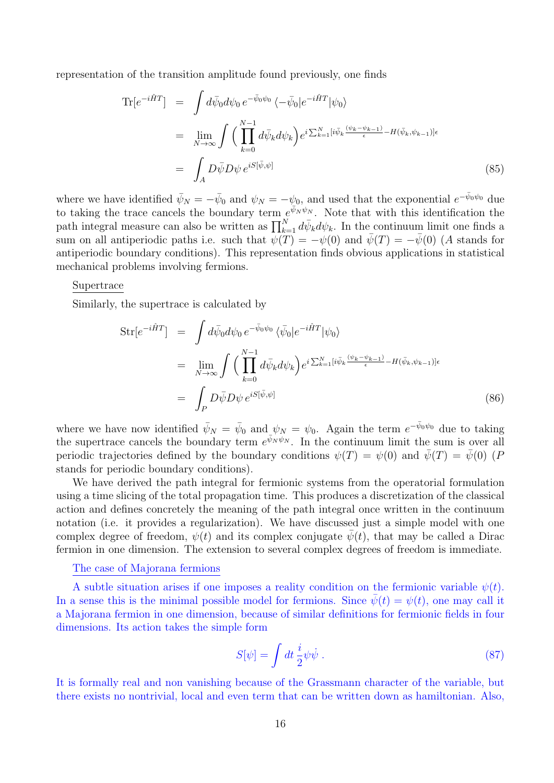representation of the transition amplitude found previously, one finds

$$
\begin{split} \text{Tr}[e^{-i\hat{H}T}] &= \int d\bar{\psi}_0 d\psi_0 \, e^{-\bar{\psi}_0\psi_0} \, \langle -\bar{\psi}_0 | e^{-i\hat{H}T} | \psi_0 \rangle \\ &= \lim_{N \to \infty} \int \Big( \prod_{k=0}^{N-1} d\bar{\psi}_k d\psi_k \Big) e^{i \sum_{k=1}^N [i\bar{\psi}_k \frac{(\psi_k - \psi_{k-1})}{\epsilon} - H(\bar{\psi}_k, \psi_{k-1})] \epsilon} \\ &= \int_A D\bar{\psi} D\psi \, e^{iS[\bar{\psi}, \psi]} \end{split} \tag{85}
$$

where we have identified  $\bar{\psi}_N = -\bar{\psi}_0$  and  $\psi_N = -\psi_0$ , and used that the exponential  $e^{-\bar{\psi}_0\psi_0}$  due to taking the trace cancels the boundary term  $e^{\bar{\psi}_N \psi_N}$ . Note that with this identification the path integral measure can also be written as  $\prod_{k=1}^{N} d\bar{\psi}_k d\psi_k$ . In the continuum limit one finds a sum on all antiperiodic paths i.e. such that  $\psi(T) = -\psi(0)$  and  $\bar{\psi}(T) = -\bar{\psi}(0)$  (A stands for antiperiodic boundary conditions). This representation finds obvious applications in statistical mechanical problems involving fermions.

#### Supertrace

Similarly, the supertrace is calculated by

$$
\text{Str}[e^{-i\hat{H}T}] = \int d\bar{\psi}_0 d\psi_0 \, e^{-\bar{\psi}_0\psi_0} \, \langle \bar{\psi}_0 | e^{-i\hat{H}T} | \psi_0 \rangle
$$
\n
$$
= \lim_{N \to \infty} \int \Big( \prod_{k=0}^{N-1} d\bar{\psi}_k d\psi_k \Big) e^{i \sum_{k=1}^N [i\bar{\psi}_k \frac{(\psi_k - \psi_{k-1})}{\epsilon} - H(\bar{\psi}_k, \psi_{k-1})] \epsilon}
$$
\n
$$
= \int_P D\bar{\psi} D\psi \, e^{iS[\bar{\psi}, \psi]} \tag{86}
$$

where we have now identified  $\bar{\psi}_N = \bar{\psi}_0$  and  $\psi_N = \psi_0$ . Again the term  $e^{-\bar{\psi}_0 \psi_0}$  due to taking the supertrace cancels the boundary term  $e^{\bar{\psi}_N \psi_N}$ . In the continuum limit the sum is over all periodic trajectories defined by the boundary conditions  $\psi(T) = \psi(0)$  and  $\bar{\psi}(T) = \bar{\psi}(0)$  (P stands for periodic boundary conditions).

We have derived the path integral for fermionic systems from the operatorial formulation using a time slicing of the total propagation time. This produces a discretization of the classical action and defines concretely the meaning of the path integral once written in the continuum notation (i.e. it provides a regularization). We have discussed just a simple model with one complex degree of freedom,  $\psi(t)$  and its complex conjugate  $\bar{\psi}(t)$ , that may be called a Dirac fermion in one dimension. The extension to several complex degrees of freedom is immediate.

#### The case of Majorana fermions

A subtle situation arises if one imposes a reality condition on the fermionic variable  $\psi(t)$ . In a sense this is the minimal possible model for fermions. Since  $\psi(t) = \psi(t)$ , one may call it a Majorana fermion in one dimension, because of similar definitions for fermionic fields in four dimensions. Its action takes the simple form

$$
S[\psi] = \int dt \, \frac{i}{2} \psi \dot{\psi} \,. \tag{87}
$$

It is formally real and non vanishing because of the Grassmann character of the variable, but there exists no nontrivial, local and even term that can be written down as hamiltonian. Also,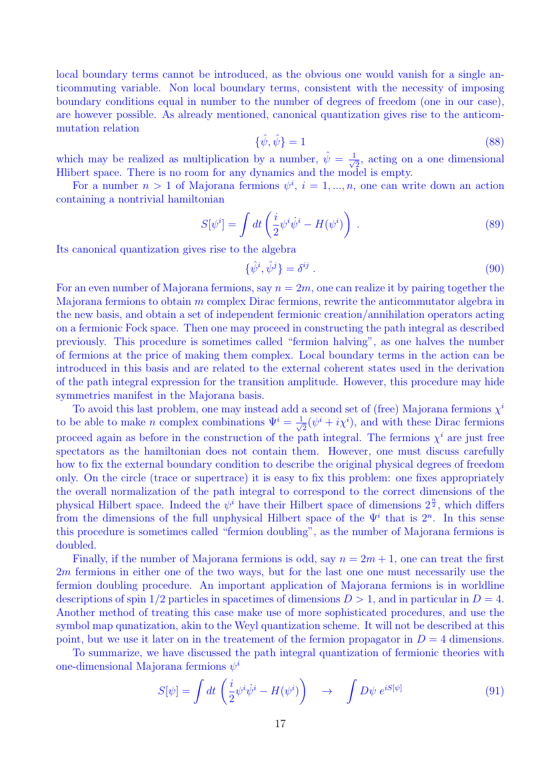local boundary terms cannot be introduced, as the obvious one would vanish for a single anticommuting variable. Non local boundary terms, consistent with the necessity of imposing boundary conditions equal in number to the number of degrees of freedom (one in our case), are however possible. As already mentioned, canonical quantization gives rise to the anticommutation relation

$$
\{\hat{\psi}, \hat{\psi}\} = 1\tag{88}
$$

which may be realized as multiplication by a number,  $\hat{\psi} = \frac{1}{\sqrt{2}}$  $\overline{2}$ , acting on a one dimensional Hlibert space. There is no room for any dynamics and the model is empty.

For a number  $n > 1$  of Majorana fermions  $\psi^i$ ,  $i = 1, ..., n$ , one can write down an action containing a nontrivial hamiltonian

$$
S[\psi^i] = \int dt \left(\frac{i}{2}\psi^i\dot{\psi}^i - H(\psi^i)\right) \tag{89}
$$

Its canonical quantization gives rise to the algebra

$$
\{\hat{\psi}^i, \hat{\psi}^j\} = \delta^{ij} \tag{90}
$$

For an even number of Majorana fermions, say  $n = 2m$ , one can realize it by pairing together the Majorana fermions to obtain m complex Dirac fermions, rewrite the anticommutator algebra in the new basis, and obtain a set of independent fermionic creation/annihilation operators acting on a fermionic Fock space. Then one may proceed in constructing the path integral as described previously. This procedure is sometimes called "fermion halving", as one halves the number of fermions at the price of making them complex. Local boundary terms in the action can be introduced in this basis and are related to the external coherent states used in the derivation of the path integral expression for the transition amplitude. However, this procedure may hide symmetries manifest in the Majorana basis.

To avoid this last problem, one may instead add a second set of (free) Majorana fermions  $\chi^i$ to be able to make *n* complex combinations  $\Psi^i = \frac{1}{\sqrt{2}}$  $\frac{1}{2}(\psi^i + i\chi^i)$ , and with these Dirac fermions proceed again as before in the construction of the path integral. The fermions  $\chi^{i}$  are just free spectators as the hamiltonian does not contain them. However, one must discuss carefully how to fix the external boundary condition to describe the original physical degrees of freedom only. On the circle (trace or supertrace) it is easy to fix this problem: one fixes appropriately the overall normalization of the path integral to correspond to the correct dimensions of the physical Hilbert space. Indeed the  $\psi^i$  have their Hilbert space of dimensions  $2^{\frac{n}{2}}$ , which differs from the dimensions of the full unphysical Hilbert space of the  $\Psi^i$  that is  $2^n$ . In this sense this procedure is sometimes called "fermion doubling", as the number of Majorana fermions is doubled.

Finally, if the number of Majorana fermions is odd, say  $n = 2m + 1$ , one can treat the first 2m fermions in either one of the two ways, but for the last one one must necessarily use the fermion doubling procedure. An important application of Majorana fermions is in worldline descriptions of spin  $1/2$  particles in spacetimes of dimensions  $D > 1$ , and in particular in  $D = 4$ . Another method of treating this case make use of more sophisticated procedures, and use the symbol map qunatization, akin to the Weyl quantization scheme. It will not be described at this point, but we use it later on in the treatement of the fermion propagator in  $D = 4$  dimensions.

To summarize, we have discussed the path integral quantization of fermionic theories with one-dimensional Majorana fermions  $\psi^i$ 

$$
S[\psi] = \int dt \left( \frac{i}{2} \psi^i \dot{\psi}^i - H(\psi^i) \right) \quad \to \quad \int D\psi \ e^{iS[\psi]} \tag{91}
$$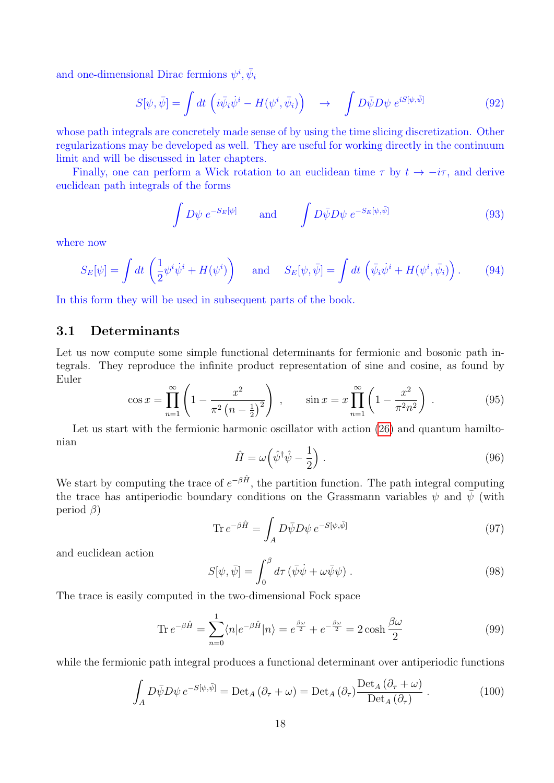and one-dimensional Dirac fermions  $\psi^i$ ,  $\bar{\psi}_i$ 

$$
S[\psi, \bar{\psi}] = \int dt \, \left( i \bar{\psi}_i \dot{\psi}^i - H(\psi^i, \bar{\psi}_i) \right) \quad \rightarrow \quad \int D\bar{\psi} D\psi \, e^{iS[\psi, \bar{\psi}]} \tag{92}
$$

whose path integrals are concretely made sense of by using the time slicing discretization. Other regularizations may be developed as well. They are useful for working directly in the continuum limit and will be discussed in later chapters.

Finally, one can perform a Wick rotation to an euclidean time  $\tau$  by  $t \to -i\tau$ , and derive euclidean path integrals of the forms

$$
\int D\psi \ e^{-S_E[\psi]} \qquad \text{and} \qquad \int D\bar{\psi}D\psi \ e^{-S_E[\psi,\bar{\psi}]} \tag{93}
$$

where now

$$
S_E[\psi] = \int dt \left(\frac{1}{2}\psi^i\dot{\psi}^i + H(\psi^i)\right) \quad \text{and} \quad S_E[\psi,\bar{\psi}] = \int dt \left(\bar{\psi}_i\dot{\psi}^i + H(\psi^i,\bar{\psi}_i)\right). \tag{94}
$$

In this form they will be used in subsequent parts of the book.

## 3.1 Determinants

Let us now compute some simple functional determinants for fermionic and bosonic path integrals. They reproduce the infinite product representation of sine and cosine, as found by Euler

$$
\cos x = \prod_{n=1}^{\infty} \left( 1 - \frac{x^2}{\pi^2 \left( n - \frac{1}{2} \right)^2} \right) , \qquad \sin x = x \prod_{n=1}^{\infty} \left( 1 - \frac{x^2}{\pi^2 n^2} \right) . \tag{95}
$$

Let us start with the fermionic harmonic oscillator with action  $(26)$  and quantum hamiltonian

$$
\hat{H} = \omega \left( \hat{\psi}^{\dagger} \hat{\psi} - \frac{1}{2} \right). \tag{96}
$$

We start by computing the trace of  $e^{-\beta \hat{H}}$ , the partition function. The path integral computing the trace has antiperiodic boundary conditions on the Grassmann variables  $\psi$  and  $\bar{\psi}$  (with period  $\beta$ )

$$
\text{Tr} \, e^{-\beta \hat{H}} = \int_A D\bar{\psi} D\psi \, e^{-S[\psi, \bar{\psi}]} \tag{97}
$$

and euclidean action

$$
S[\psi, \bar{\psi}] = \int_0^\beta d\tau \left( \bar{\psi}\dot{\psi} + \omega \bar{\psi}\psi \right). \tag{98}
$$

The trace is easily computed in the two-dimensional Fock space

$$
\operatorname{Tr} e^{-\beta \hat{H}} = \sum_{n=0}^{1} \langle n | e^{-\beta \hat{H}} | n \rangle = e^{\frac{\beta \omega}{2}} + e^{-\frac{\beta \omega}{2}} = 2 \cosh \frac{\beta \omega}{2}
$$
(99)

while the fermionic path integral produces a functional determinant over antiperiodic functions

$$
\int_{A} D\bar{\psi}D\psi \, e^{-S[\psi,\bar{\psi}]} = \text{Det}_{A} \left( \partial_{\tau} + \omega \right) = \text{Det}_{A} \left( \partial_{\tau} \right) \frac{\text{Det}_{A} \left( \partial_{\tau} + \omega \right)}{\text{Det}_{A} \left( \partial_{\tau} \right)} \, . \tag{100}
$$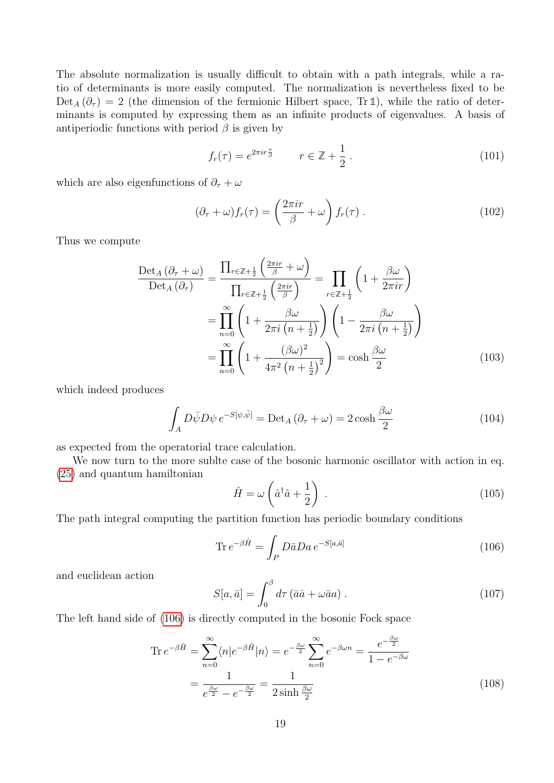The absolute normalization is usually difficult to obtain with a path integrals, while a ratio of determinants is more easily computed. The normalization is nevertheless fixed to be  $Det_A(\partial_\tau) = 2$  (the dimension of the fermionic Hilbert space, Tr 1), while the ratio of determinants is computed by expressing them as an infinite products of eigenvalues. A basis of antiperiodic functions with period  $\beta$  is given by

$$
f_r(\tau) = e^{2\pi i r \frac{\tau}{\beta}} \qquad r \in \mathbb{Z} + \frac{1}{2} \,. \tag{101}
$$

which are also eigenfunctions of  $\partial_{\tau} + \omega$ 

$$
(\partial_{\tau} + \omega) f_r(\tau) = \left(\frac{2\pi i r}{\beta} + \omega\right) f_r(\tau) . \tag{102}
$$

Thus we compute

$$
\frac{\text{Det}_{A}(\partial_{\tau} + \omega)}{\text{Det}_{A}(\partial_{\tau})} = \frac{\prod_{r \in \mathbb{Z} + \frac{1}{2}} \left( \frac{2\pi ir}{\beta} + \omega \right)}{\prod_{r \in \mathbb{Z} + \frac{1}{2}} \left( \frac{2\pi ir}{\beta} \right)} = \prod_{r \in \mathbb{Z} + \frac{1}{2}} \left( 1 + \frac{\beta \omega}{2\pi ir} \right)
$$

$$
= \prod_{n=0}^{\infty} \left( 1 + \frac{\beta \omega}{2\pi i \left( n + \frac{1}{2} \right)} \right) \left( 1 - \frac{\beta \omega}{2\pi i \left( n + \frac{1}{2} \right)} \right)
$$

$$
= \prod_{n=0}^{\infty} \left( 1 + \frac{(\beta \omega)^{2}}{4\pi^{2} \left( n + \frac{1}{2} \right)^{2}} \right) = \cosh \frac{\beta \omega}{2}
$$
(103)

which indeed produces

$$
\int_{A} D\bar{\psi}D\psi \, e^{-S[\psi,\bar{\psi}]} = \text{Det}_{A} \left(\partial_{\tau} + \omega\right) = 2\cosh\frac{\beta\omega}{2} \tag{104}
$$

as expected from the operatorial trace calculation.

We now turn to the more sublte case of the bosonic harmonic oscillator with action in eq. [\(25\)](#page-4-0) and quantum hamiltonian

$$
\hat{H} = \omega \left(\hat{a}^\dagger \hat{a} + \frac{1}{2}\right) \,. \tag{105}
$$

The path integral computing the partition function has periodic boundary conditions

<span id="page-18-0"></span>
$$
\operatorname{Tr} e^{-\beta \hat{H}} = \int_{P} D\bar{a} D a \, e^{-S[a,\bar{a}]} \tag{106}
$$

and euclidean action

$$
S[a,\bar{a}] = \int_0^\beta d\tau \left(\bar{a}\dot{a} + \omega \bar{a}a\right). \tag{107}
$$

The left hand side of [\(106\)](#page-18-0) is directly computed in the bosonic Fock space

$$
\operatorname{Tr} e^{-\beta \hat{H}} = \sum_{n=0}^{\infty} \langle n | e^{-\beta \hat{H}} | n \rangle = e^{-\frac{\beta \omega}{2}} \sum_{n=0}^{\infty} e^{-\beta \omega n} = \frac{e^{-\frac{\beta \omega}{2}}}{1 - e^{-\beta \omega}}
$$

$$
= \frac{1}{e^{\frac{\beta \omega}{2}} - e^{-\frac{\beta \omega}{2}}} = \frac{1}{2 \sinh \frac{\beta \omega}{2}}
$$
(108)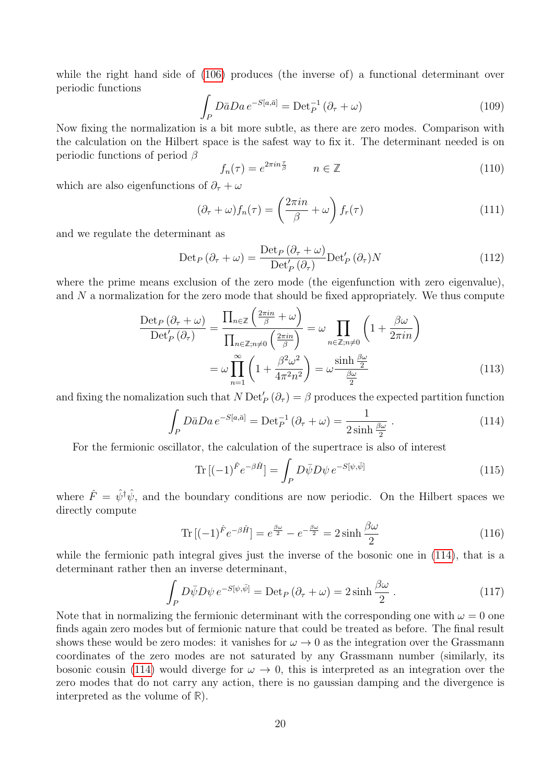while the right hand side of  $(106)$  produces (the inverse of) a functional determinant over periodic functions

$$
\int_{P} D\bar{a}D a e^{-S[a,\bar{a}]} = \text{Det}_{P}^{-1} (\partial_{\tau} + \omega)
$$
\n(109)

Now fixing the normalization is a bit more subtle, as there are zero modes. Comparison with the calculation on the Hilbert space is the safest way to fix it. The determinant needed is on periodic functions of period  $\beta$ 

$$
f_n(\tau) = e^{2\pi i n \frac{\tau}{\beta}} \qquad n \in \mathbb{Z}
$$
\n(110)

which are also eigenfunctions of  $\partial_{\tau} + \omega$ 

$$
(\partial_{\tau} + \omega) f_n(\tau) = \left(\frac{2\pi i n}{\beta} + \omega\right) f_r(\tau) \tag{111}
$$

and we regulate the determinant as

$$
\text{Det}_P\left(\partial_{\tau} + \omega\right) = \frac{\text{Det}_P\left(\partial_{\tau} + \omega\right)}{\text{Det}'_P\left(\partial_{\tau}\right)} \text{Det}'_P\left(\partial_{\tau}\right) N \tag{112}
$$

where the prime means exclusion of the zero mode (the eigenfunction with zero eigenvalue), and N a normalization for the zero mode that should be fixed appropriately. We thus compute

$$
\frac{\text{Det}_P\left(\partial_{\tau} + \omega\right)}{\text{Det}'_P\left(\partial_{\tau}\right)} = \frac{\prod_{n \in \mathbb{Z}} \left(\frac{2\pi in}{\beta} + \omega\right)}{\prod_{n \in \mathbb{Z}, n \neq 0} \left(\frac{2\pi in}{\beta}\right)} = \omega \prod_{n \in \mathbb{Z}, n \neq 0} \left(1 + \frac{\beta \omega}{2\pi in}\right)
$$

$$
= \omega \prod_{n=1}^{\infty} \left(1 + \frac{\beta^2 \omega^2}{4\pi^2 n^2}\right) = \omega \frac{\sinh \frac{\beta \omega}{2}}{\frac{\beta \omega}{2}} \tag{113}
$$

and fixing the nomalization such that  $N \text{Det}'_P(\partial_\tau) = \beta$  produces the expected partition function

<span id="page-19-0"></span>
$$
\int_{P} D\bar{a}D a e^{-S[a,\bar{a}]} = \text{Det}_{P}^{-1} (\partial_{\tau} + \omega) = \frac{1}{2\sinh\frac{\beta\omega}{2}}.
$$
\n(114)

For the fermionic oscillator, the calculation of the supertrace is also of interest

$$
\operatorname{Tr}\left[(-1)^{\hat{F}}e^{-\beta\hat{H}}\right] = \int_{P} D\bar{\psi}D\psi \, e^{-S[\psi,\bar{\psi}]}\tag{115}
$$

where  $\hat{F} = \hat{\psi}^{\dagger} \hat{\psi}$ , and the boundary conditions are now periodic. On the Hilbert spaces we directly compute

$$
\operatorname{Tr}\left[(-1)^{\hat{F}}e^{-\beta\hat{H}}\right] = e^{\frac{\beta\omega}{2}} - e^{-\frac{\beta\omega}{2}} = 2\sinh\frac{\beta\omega}{2}
$$
\n(116)

while the fermionic path integral gives just the inverse of the bosonic one in  $(114)$ , that is a determinant rather then an inverse determinant,

$$
\int_{P} D\bar{\psi}D\psi \, e^{-S[\psi,\bar{\psi}]} = \text{Det}_{P} \left( \partial_{\tau} + \omega \right) = 2\sinh\frac{\beta\omega}{2} \,. \tag{117}
$$

Note that in normalizing the fermionic determinant with the corresponding one with  $\omega = 0$  one finds again zero modes but of fermionic nature that could be treated as before. The final result shows these would be zero modes: it vanishes for  $\omega \to 0$  as the integration over the Grassmann coordinates of the zero modes are not saturated by any Grassmann number (similarly, its bosonic cousin [\(114\)](#page-19-0) would diverge for  $\omega \to 0$ , this is interpreted as an integration over the zero modes that do not carry any action, there is no gaussian damping and the divergence is interpreted as the volume of **R**).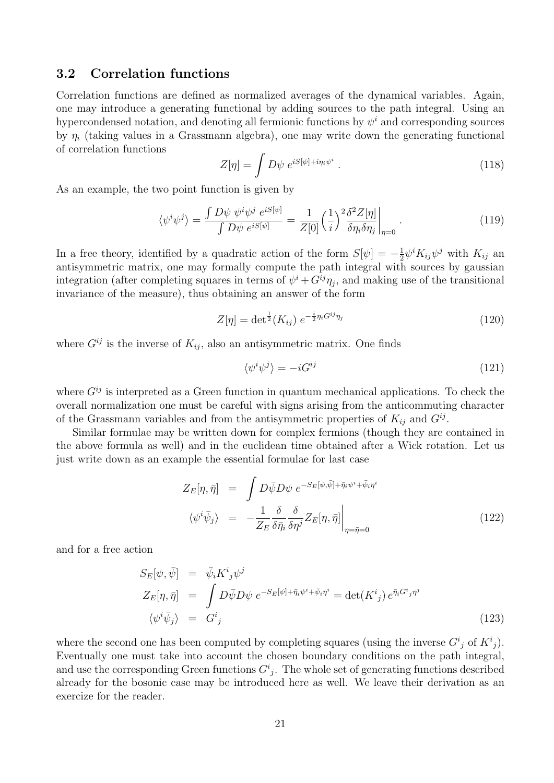## 3.2 Correlation functions

Correlation functions are defined as normalized averages of the dynamical variables. Again, one may introduce a generating functional by adding sources to the path integral. Using an hypercondensed notation, and denoting all fermionic functions by  $\psi^i$  and corresponding sources by  $\eta_i$  (taking values in a Grassmann algebra), one may write down the generating functional of correlation functions

$$
Z[\eta] = \int D\psi \; e^{iS[\psi] + i\eta_i \psi^i} \; . \tag{118}
$$

As an example, the two point function is given by

$$
\langle \psi^i \psi^j \rangle = \frac{\int D\psi \ \psi^i \psi^j \ e^{iS[\psi]}}{\int D\psi \ e^{iS[\psi]}} = \frac{1}{Z[0]} \left(\frac{1}{i}\right)^2 \frac{\delta^2 Z[\eta]}{\delta \eta_i \delta \eta_j}\Big|_{\eta=0} \ . \tag{119}
$$

In a free theory, identified by a quadratic action of the form  $S[\psi] = -\frac{1}{2}$  $\frac{1}{2}\psi^i K_{ij}\psi^j$  with  $K_{ij}$  an antisymmetric matrix, one may formally compute the path integral with sources by gaussian integration (after completing squares in terms of  $\psi^i + G^{ij}\eta_j$ , and making use of the transitional invariance of the measure), thus obtaining an answer of the form

$$
Z[\eta] = \det^{\frac{1}{2}}(K_{ij}) e^{-\frac{i}{2}\eta_i G^{ij}\eta_j}
$$
\n(120)

where  $G^{ij}$  is the inverse of  $K_{ij}$ , also an antisymmetric matrix. One finds

$$
\langle \psi^i \psi^j \rangle = -i G^{ij} \tag{121}
$$

where  $G^{ij}$  is interpreted as a Green function in quantum mechanical applications. To check the overall normalization one must be careful with signs arising from the anticommuting character of the Grassmann variables and from the antisymmetric properties of  $K_{ij}$  and  $G^{ij}$ .

Similar formulae may be written down for complex fermions (though they are contained in the above formula as well) and in the euclidean time obtained after a Wick rotation. Let us just write down as an example the essential formulae for last case

$$
Z_E[\eta, \bar{\eta}] = \int D\bar{\psi}D\psi \ e^{-S_E[\psi, \bar{\psi}]+\bar{\eta}_i\psi^i+\bar{\psi}_i\eta^i}
$$

$$
\langle \psi^i \bar{\psi}_j \rangle = -\frac{1}{Z_E} \frac{\delta}{\delta \bar{\eta}_i} \frac{\delta}{\delta \eta^j} Z_E[\eta, \bar{\eta}] \Big|_{\eta=\bar{\eta}=0}
$$
(122)

and for a free action

$$
S_E[\psi, \bar{\psi}] = \bar{\psi}_i K^i{}_j \psi^j
$$
  
\n
$$
Z_E[\eta, \bar{\eta}] = \int D\bar{\psi} D\psi \ e^{-S_E[\psi] + \bar{\eta}_i \psi^i + \bar{\psi}_i \eta^i} = \det(K^i{}_j) \ e^{\bar{\eta}_i G^i{}_j \eta^j}
$$
  
\n
$$
\langle \psi^i \bar{\psi}_j \rangle = G^i{}_j
$$
\n(123)

where the second one has been computed by completing squares (using the inverse  $G^i_j$  of  $K^i_j$ ). Eventually one must take into account the chosen boundary conditions on the path integral, and use the corresponding Green functions  $G^i_j$ . The whole set of generating functions described already for the bosonic case may be introduced here as well. We leave their derivation as an exercize for the reader.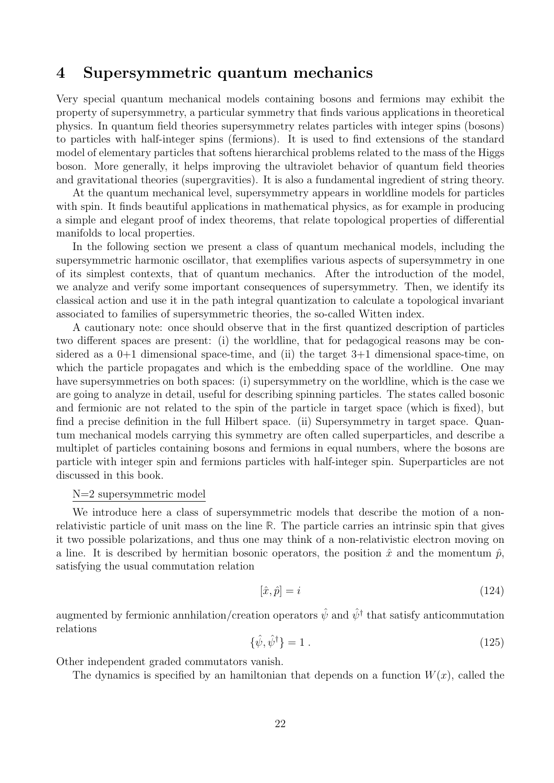## 4 Supersymmetric quantum mechanics

Very special quantum mechanical models containing bosons and fermions may exhibit the property of supersymmetry, a particular symmetry that finds various applications in theoretical physics. In quantum field theories supersymmetry relates particles with integer spins (bosons) to particles with half-integer spins (fermions). It is used to find extensions of the standard model of elementary particles that softens hierarchical problems related to the mass of the Higgs boson. More generally, it helps improving the ultraviolet behavior of quantum field theories and gravitational theories (supergravities). It is also a fundamental ingredient of string theory.

At the quantum mechanical level, supersymmetry appears in worldline models for particles with spin. It finds beautiful applications in mathematical physics, as for example in producing a simple and elegant proof of index theorems, that relate topological properties of differential manifolds to local properties.

In the following section we present a class of quantum mechanical models, including the supersymmetric harmonic oscillator, that exemplifies various aspects of supersymmetry in one of its simplest contexts, that of quantum mechanics. After the introduction of the model, we analyze and verify some important consequences of supersymmetry. Then, we identify its classical action and use it in the path integral quantization to calculate a topological invariant associated to families of supersymmetric theories, the so-called Witten index.

A cautionary note: once should observe that in the first quantized description of particles two different spaces are present: (i) the worldline, that for pedagogical reasons may be considered as a  $0+1$  dimensional space-time, and (ii) the target  $3+1$  dimensional space-time, on which the particle propagates and which is the embedding space of the worldline. One may have supersymmetries on both spaces: (i) supersymmetry on the worldline, which is the case we are going to analyze in detail, useful for describing spinning particles. The states called bosonic and fermionic are not related to the spin of the particle in target space (which is fixed), but find a precise definition in the full Hilbert space. (ii) Supersymmetry in target space. Quantum mechanical models carrying this symmetry are often called superparticles, and describe a multiplet of particles containing bosons and fermions in equal numbers, where the bosons are particle with integer spin and fermions particles with half-integer spin. Superparticles are not discussed in this book.

#### N=2 supersymmetric model

We introduce here a class of supersymmetric models that describe the motion of a nonrelativistic particle of unit mass on the line **R**. The particle carries an intrinsic spin that gives it two possible polarizations, and thus one may think of a non-relativistic electron moving on a line. It is described by hermitian bosonic operators, the position  $\hat{x}$  and the momentum  $\hat{p}$ , satisfying the usual commutation relation

$$
[\hat{x}, \hat{p}] = i \tag{124}
$$

augmented by fermionic annhilation/creation operators  $\hat{\psi}$  and  $\hat{\psi}^{\dagger}$  that satisfy anticommutation relations

$$
\{\hat{\psi}, \hat{\psi}^{\dagger}\} = 1\tag{125}
$$

Other independent graded commutators vanish.

The dynamics is specified by an hamiltonian that depends on a function  $W(x)$ , called the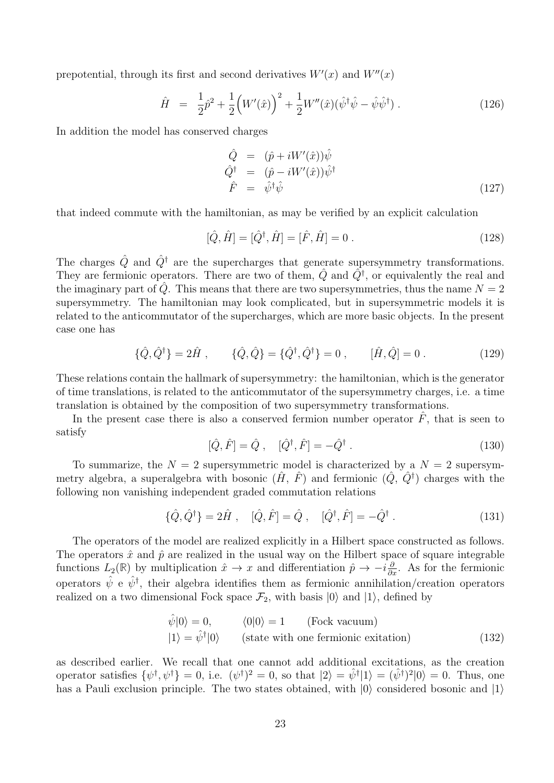prepotential, through its first and second derivatives  $W'(x)$  and  $W''(x)$ 

$$
\hat{H} = \frac{1}{2}\hat{p}^2 + \frac{1}{2}\left(W'(\hat{x})\right)^2 + \frac{1}{2}W''(\hat{x})(\hat{\psi}^{\dagger}\hat{\psi} - \hat{\psi}\hat{\psi}^{\dagger}).
$$
\n(126)

In addition the model has conserved charges

$$
\begin{array}{rcl}\n\hat{Q} & = & (\hat{p} + iW'(\hat{x}))\hat{\psi} \\
\hat{Q}^\dagger & = & (\hat{p} - iW'(\hat{x}))\hat{\psi}^\dagger \\
\hat{F} & = & \hat{\psi}^\dagger\hat{\psi}\n\end{array} \tag{127}
$$

that indeed commute with the hamiltonian, as may be verified by an explicit calculation

$$
[\hat{Q}, \hat{H}] = [\hat{Q}^{\dagger}, \hat{H}] = [\hat{F}, \hat{H}] = 0.
$$
\n(128)

The charges  $\hat{Q}$  and  $\hat{Q}^{\dagger}$  are the supercharges that generate supersymmetry transformations. They are fermionic operators. There are two of them,  $\hat{Q}$  and  $\hat{Q}^{\dagger}$ , or equivalently the real and the imaginary part of  $\hat{Q}$ . This means that there are two supersymmetries, thus the name  $N = 2$ supersymmetry. The hamiltonian may look complicated, but in supersymmetric models it is related to the anticommutator of the supercharges, which are more basic objects. In the present case one has

<span id="page-22-0"></span>
$$
\{\hat{Q}, \hat{Q}^{\dagger}\} = 2\hat{H} , \qquad \{\hat{Q}, \hat{Q}\} = \{\hat{Q}^{\dagger}, \hat{Q}^{\dagger}\} = 0 , \qquad [\hat{H}, \hat{Q}] = 0 .
$$
 (129)

These relations contain the hallmark of supersymmetry: the hamiltonian, which is the generator of time translations, is related to the anticommutator of the supersymmetry charges, i.e. a time translation is obtained by the composition of two supersymmetry transformations.

In the present case there is also a conserved fermion number operator  $\hat{F}$ , that is seen to satisfy

$$
[\hat{Q}, \hat{F}] = \hat{Q}, \quad [\hat{Q}^{\dagger}, \hat{F}] = -\hat{Q}^{\dagger}.
$$
\n(130)

To summarize, the  $N = 2$  supersymmetric model is characterized by a  $N = 2$  supersymmetry algebra, a superalgebra with bosonic  $(\hat{H}, \hat{F})$  and fermionic  $(\hat{Q}, \hat{Q}^{\dagger})$  charges with the following non vanishing independent graded commutation relations

$$
\{\hat{Q}, \hat{Q}^{\dagger}\} = 2\hat{H} , \quad [\hat{Q}, \hat{F}] = \hat{Q} , \quad [\hat{Q}^{\dagger}, \hat{F}] = -\hat{Q}^{\dagger} . \tag{131}
$$

The operators of the model are realized explicitly in a Hilbert space constructed as follows. The operators  $\hat{x}$  and  $\hat{p}$  are realized in the usual way on the Hilbert space of square integrable functions  $L_2(\mathbb{R})$  by multiplication  $\hat{x} \to x$  and differentiation  $\hat{p} \to -i\frac{\partial}{\partial x}$ . As for the fermionic operators  $\hat{\psi}$  e  $\hat{\psi}^{\dagger}$ , their algebra identifies them as fermionic annihilation/creation operators realized on a two dimensional Fock space  $\mathcal{F}_2$ , with basis  $|0\rangle$  and  $|1\rangle$ , defined by

$$
\hat{\psi}|0\rangle = 0, \qquad \langle 0|0\rangle = 1 \qquad \text{(Fock vacuum)}
$$
  

$$
|1\rangle = \hat{\psi}^{\dagger}|0\rangle \qquad \text{(state with one fermionic extinction)} \tag{132}
$$

as described earlier. We recall that one cannot add additional excitations, as the creation operator satisfies  $\{\psi^{\dagger}, \psi^{\dagger}\}=0$ , i.e.  $(\psi^{\dagger})^2=0$ , so that  $|2\rangle=\hat{\psi}^{\dagger}|1\rangle=(\hat{\psi}^{\dagger})^2|0\rangle=0$ . Thus, one has a Pauli exclusion principle. The two states obtained, with  $|0\rangle$  considered bosonic and  $|1\rangle$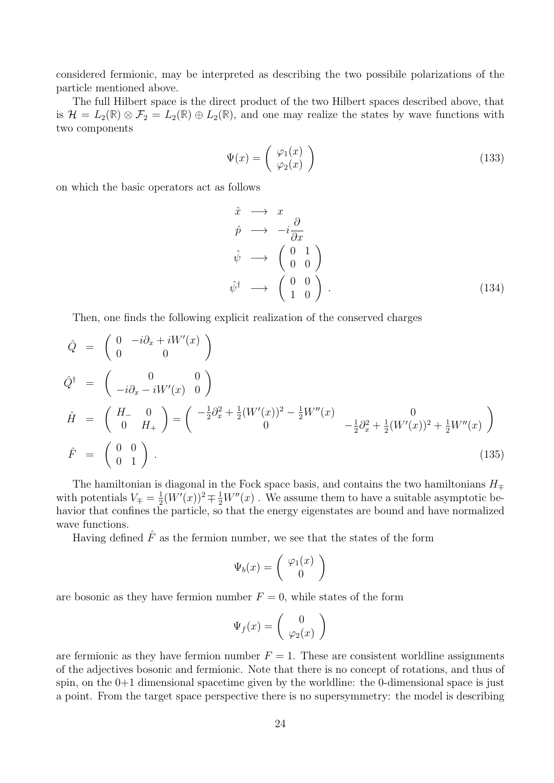considered fermionic, may be interpreted as describing the two possibile polarizations of the particle mentioned above.

The full Hilbert space is the direct product of the two Hilbert spaces described above, that is  $\mathcal{H} = L_2(\mathbb{R}) \otimes \mathcal{F}_2 = L_2(\mathbb{R}) \oplus L_2(\mathbb{R})$ , and one may realize the states by wave functions with two components

$$
\Psi(x) = \begin{pmatrix} \varphi_1(x) \\ \varphi_2(x) \end{pmatrix} \tag{133}
$$

on which the basic operators act as follows

$$
\begin{aligned}\n\hat{x} &\longrightarrow x \\
\hat{p} &\longrightarrow -i\frac{\partial}{\partial x} \\
\hat{\psi} &\longrightarrow \begin{pmatrix} 0 & 1 \\ 0 & 0 \end{pmatrix} \\
\hat{\psi}^{\dagger} &\longrightarrow \begin{pmatrix} 0 & 0 \\ 1 & 0 \end{pmatrix}.\n\end{aligned}
$$
\n(134)

Then, one finds the following explicit realization of the conserved charges

$$
\hat{Q} = \begin{pmatrix} 0 & -i\partial_x + iW'(x) \\ 0 & 0 \end{pmatrix}
$$
  
\n
$$
\hat{Q}^{\dagger} = \begin{pmatrix} 0 & 0 \\ -i\partial_x - iW'(x) & 0 \end{pmatrix}
$$
  
\n
$$
\hat{H} = \begin{pmatrix} H_{-} & 0 \\ 0 & H_{+} \end{pmatrix} = \begin{pmatrix} -\frac{1}{2}\partial_x^2 + \frac{1}{2}(W'(x))^2 - \frac{1}{2}W''(x) & 0 \\ 0 & -\frac{1}{2}\partial_x^2 + \frac{1}{2}(W'(x))^2 + \frac{1}{2}W''(x) \end{pmatrix}
$$
  
\n
$$
\hat{F} = \begin{pmatrix} 0 & 0 \\ 0 & 1 \end{pmatrix}.
$$
\n(135)

The hamiltonian is diagonal in the Fock space basis, and contains the two hamiltonians  $H_{\mp}$ with potentials  $V_{\mp} = \frac{1}{2}$  $\frac{1}{2}(W'(x))^2 \mp \frac{1}{2}W''(x)$ . We assume them to have a suitable asymptotic behavior that confines the particle, so that the energy eigenstates are bound and have normalized wave functions.

Having defined  $\hat{F}$  as the fermion number, we see that the states of the form

$$
\Psi_b(x) = \left(\begin{array}{c} \varphi_1(x) \\ 0 \end{array}\right)
$$

are bosonic as they have fermion number  $F = 0$ , while states of the form

$$
\Psi_f(x) = \left(\begin{array}{c} 0\\ \varphi_2(x) \end{array}\right)
$$

are fermionic as they have fermion number  $F = 1$ . These are consistent worldline assignments of the adjectives bosonic and fermionic. Note that there is no concept of rotations, and thus of spin, on the 0+1 dimensional spacetime given by the worldline: the 0-dimensional space is just a point. From the target space perspective there is no supersymmetry: the model is describing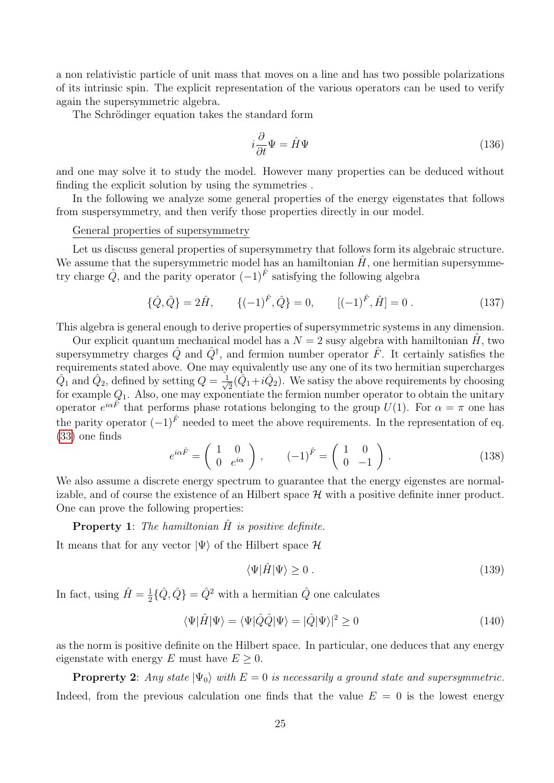a non relativistic particle of unit mass that moves on a line and has two possible polarizations of its intrinsic spin. The explicit representation of the various operators can be used to verify again the supersymmetric algebra.

The Schrödinger equation takes the standard form

$$
i\frac{\partial}{\partial t}\Psi = \hat{H}\Psi\tag{136}
$$

and one may solve it to study the model. However many properties can be deduced without finding the explicit solution by using the symmetries .

In the following we analyze some general properties of the energy eigenstates that follows from suspersymmetry, and then verify those properties directly in our model.

### General properties of supersymmetry

Let us discuss general properties of supersymmetry that follows form its algebraic structure. We assume that the supersymmetric model has an hamiltonian  $H$ , one hermitian supersymmetry charge  $\hat{Q}$ , and the parity operator  $(-1)^{\hat{F}}$  satisfying the following algebra

$$
\{\hat{Q}, \hat{Q}\} = 2\hat{H}, \qquad \{(-1)^{\hat{F}}, \hat{Q}\} = 0, \qquad [(-1)^{\hat{F}}, \hat{H}] = 0. \tag{137}
$$

This algebra is general enough to derive properties of supersymmetric systems in any dimension.

Our explicit quantum mechanical model has a  $N = 2$  susy algebra with hamiltonian  $\hat{H}$ , two supersymmetry charges  $\hat{Q}$  and  $\hat{Q}^{\dagger}$ , and fermion number operator  $\hat{F}$ . It certainly satisfies the requirements stated above. One may equivalently use any one of its two hermitian supercharges  $\hat{Q}_1$  and  $\hat{Q}_2$ , defined by setting  $Q = \frac{1}{\sqrt{2}}$  $\overline{z}(\tilde{Q}_1+i\hat{Q}_2)$ . We satisy the above requirements by choosing for example  $Q_1$ . Also, one may exponentiate the fermion number operator to obtain the unitary operator  $e^{i\alpha \hat{F}}$  that performs phase rotations belonging to the group  $U(1)$ . For  $\alpha = \pi$  one has the parity operator  $(-1)^{\hat{F}}$  needed to meet the above requirements. In the representation of eq. [\(33\)](#page-5-2) one finds

$$
e^{i\alpha \hat{F}} = \begin{pmatrix} 1 & 0 \\ 0 & e^{i\alpha} \end{pmatrix}, \qquad (-1)^{\hat{F}} = \begin{pmatrix} 1 & 0 \\ 0 & -1 \end{pmatrix}.
$$
 (138)

We also assume a discrete energy spectrum to guarantee that the energy eigenstes are normalizable, and of course the existence of an Hilbert space  $\mathcal H$  with a positive definite inner product. One can prove the following properties:

## **Property 1:** The hamiltonian  $\hat{H}$  is positive definite.

It means that for any vector  $|\Psi\rangle$  of the Hilbert space  $\mathcal H$ 

$$
\langle \Psi | \hat{H} | \Psi \rangle \ge 0 \tag{139}
$$

In fact, using  $\hat{H} = \frac{1}{2}$  $\frac{1}{2}\{\hat{Q},\hat{Q}\} = \hat{Q}^2$  with a hermitian  $\hat{Q}$  one calculates

<span id="page-24-0"></span>
$$
\langle \Psi | \hat{H} | \Psi \rangle = \langle \Psi | \hat{Q} \hat{Q} | \Psi \rangle = | \hat{Q} | \Psi \rangle |^2 \ge 0 \tag{140}
$$

as the norm is positive definite on the Hilbert space. In particular, one deduces that any energy eigenstate with energy E must have  $E \geq 0$ .

**Proprerty 2:** Any state  $|\Psi_0\rangle$  with  $E = 0$  is necessarily a ground state and supersymmetric. Indeed, from the previous calculation one finds that the value  $E = 0$  is the lowest energy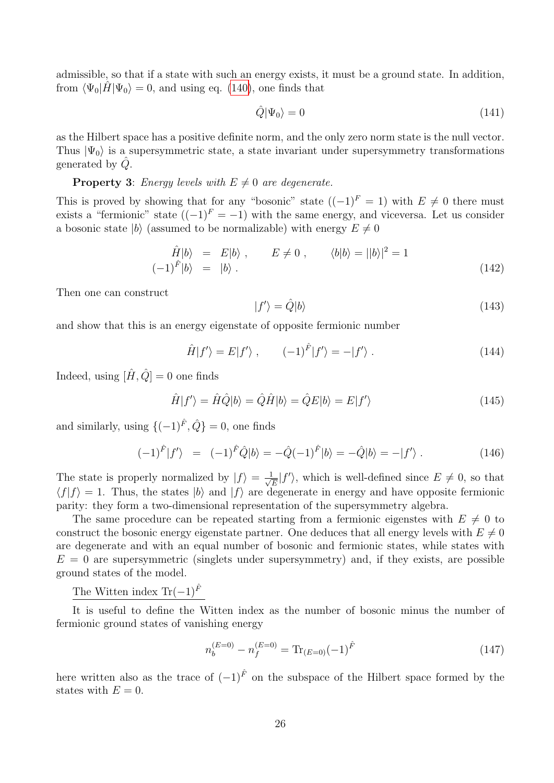admissible, so that if a state with such an energy exists, it must be a ground state. In addition, from  $\langle \Psi_0 | \hat{H} | \Psi_0 \rangle = 0$ , and using eq. [\(140\)](#page-24-0), one finds that

$$
\hat{Q}|\Psi_0\rangle = 0\tag{141}
$$

as the Hilbert space has a positive definite norm, and the only zero norm state is the null vector. Thus  $|\Psi_0\rangle$  is a supersymmetric state, a state invariant under supersymmetry transformations generated by  $\ddot{Q}$ .

## **Property 3:** Energy levels with  $E \neq 0$  are degenerate.

This is proved by showing that for any "bosonic" state  $((-1)^{F} = 1)$  with  $E \neq 0$  there must exists a "fermionic" state  $((-1)^F = -1)$  with the same energy, and viceversa. Let us consider a bosonic state  $|b\rangle$  (assumed to be normalizable) with energy  $E \neq 0$ 

$$
\hat{H}|b\rangle = E|b\rangle, \qquad E \neq 0, \qquad \langle b|b\rangle = ||b\rangle|^2 = 1
$$
\n
$$
(-1)^{\hat{F}}|b\rangle = |b\rangle. \tag{142}
$$

Then one can construct

$$
|f'\rangle = \hat{Q}|b\rangle\tag{143}
$$

and show that this is an energy eigenstate of opposite fermionic number

$$
\hat{H}|f'\rangle = E|f'\rangle , \qquad (-1)^{\hat{F}}|f'\rangle = -|f'\rangle . \qquad (144)
$$

Indeed, using  $[\hat{H}, \hat{Q}] = 0$  one finds

$$
\hat{H}|f'\rangle = \hat{H}\hat{Q}|b\rangle = \hat{Q}\hat{H}|b\rangle = \hat{Q}E|b\rangle = E|f'\rangle
$$
\n(145)

and similarly, using  $\{(-1)^{\hat{F}}, \hat{Q}\}=0$ , one finds

$$
(-1)^{\hat{F}}|f'\rangle = (-1)^{\hat{F}}\hat{Q}|b\rangle = -\hat{Q}(-1)^{\hat{F}}|b\rangle = -\hat{Q}|b\rangle = -|f'\rangle.
$$
 (146)

The state is properly normalized by  $|f\rangle = \frac{1}{f}$  $\frac{1}{\sqrt{E}}|f'\rangle$ , which is well-defined since  $E\neq 0$ , so that  $\langle f|f \rangle = 1$ . Thus, the states  $|b\rangle$  and  $|f\rangle$  are degenerate in energy and have opposite fermionic parity: they form a two-dimensional representation of the supersymmetry algebra.

The same procedure can be repeated starting from a fermionic eigenstes with  $E \neq 0$  to construct the bosonic energy eigenstate partner. One deduces that all energy levels with  $E \neq 0$ are degenerate and with an equal number of bosonic and fermionic states, while states with  $E = 0$  are supersymmetric (singlets under supersymmetry) and, if they exists, are possible ground states of the model.

## The Witten index Tr( $-1$ )<sup> $\hat{F}$ </sup>

It is useful to define the Witten index as the number of bosonic minus the number of fermionic ground states of vanishing energy

$$
n_b^{(E=0)} - n_f^{(E=0)} = \text{Tr}_{(E=0)} (-1)^{\hat{F}} \tag{147}
$$

here written also as the trace of  $(-1)^{\hat{F}}$  on the subspace of the Hilbert space formed by the states with  $E = 0$ .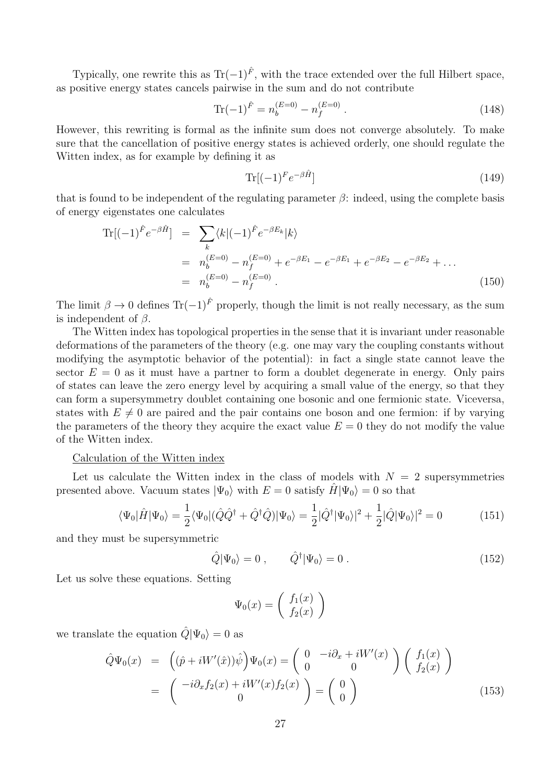Typically, one rewrite this as  $\text{Tr}(-1)^{\hat{F}}$ , with the trace extended over the full Hilbert space, as positive energy states cancels pairwise in the sum and do not contribute

$$
\text{Tr}(-1)^{\hat{F}} = n_b^{(E=0)} - n_f^{(E=0)}.
$$
\n(148)

However, this rewriting is formal as the infinite sum does not converge absolutely. To make sure that the cancellation of positive energy states is achieved orderly, one should regulate the Witten index, as for example by defining it as

$$
\operatorname{Tr}[(-1)^F e^{-\beta \hat{H}}] \tag{149}
$$

that is found to be independent of the regulating parameter  $\beta$ : indeed, using the complete basis of energy eigenstates one calculates

$$
\begin{split} \text{Tr}[(-1)^{\hat{F}}e^{-\beta \hat{H}}] &= \sum_{k} \langle k|(-1)^{\hat{F}}e^{-\beta E_{k}}|k\rangle \\ &= n_{b}^{(E=0)} - n_{f}^{(E=0)} + e^{-\beta E_{1}} - e^{-\beta E_{1}} + e^{-\beta E_{2}} - e^{-\beta E_{2}} + \dots \\ &= n_{b}^{(E=0)} - n_{f}^{(E=0)} \,. \end{split} \tag{150}
$$

The limit  $\beta \to 0$  defines Tr(-1)<sup> $\hat{F}$ </sup> properly, though the limit is not really necessary, as the sum is independent of  $\beta$ .

The Witten index has topological properties in the sense that it is invariant under reasonable deformations of the parameters of the theory (e.g. one may vary the coupling constants without modifying the asymptotic behavior of the potential): in fact a single state cannot leave the sector  $E = 0$  as it must have a partner to form a doublet degenerate in energy. Only pairs of states can leave the zero energy level by acquiring a small value of the energy, so that they can form a supersymmetry doublet containing one bosonic and one fermionic state. Viceversa, states with  $E \neq 0$  are paired and the pair contains one boson and one fermion: if by varying the parameters of the theory they acquire the exact value  $E = 0$  they do not modify the value of the Witten index.

#### Calculation of the Witten index

Let us calculate the Witten index in the class of models with  $N = 2$  supersymmetries presented above. Vacuum states  $|\Psi_0\rangle$  with  $E = 0$  satisfy  $H|\Psi_0\rangle = 0$  so that

$$
\langle \Psi_0 | \hat{H} | \Psi_0 \rangle = \frac{1}{2} \langle \Psi_0 | (\hat{Q}\hat{Q}^\dagger + \hat{Q}^\dagger \hat{Q}) | \Psi_0 \rangle = \frac{1}{2} |\hat{Q}^\dagger | \Psi_0 \rangle|^2 + \frac{1}{2} |\hat{Q} | \Psi_0 \rangle|^2 = 0 \tag{151}
$$

and they must be supersymmetric

$$
\hat{Q}|\Psi_0\rangle = 0 \;, \qquad \hat{Q}^\dagger|\Psi_0\rangle = 0 \; . \tag{152}
$$

Let us solve these equations. Setting

$$
\Psi_0(x) = \left(\begin{array}{c} f_1(x) \\ f_2(x) \end{array}\right)
$$

we translate the equation  $\hat{Q}|\Psi_0\rangle = 0$  as

$$
\hat{Q}\Psi_0(x) = \left( (\hat{p} + iW'(\hat{x}))\hat{\psi} \right) \Psi_0(x) = \begin{pmatrix} 0 & -i\partial_x + iW'(x) \\ 0 & 0 \end{pmatrix} \begin{pmatrix} f_1(x) \\ f_2(x) \end{pmatrix}
$$

$$
= \begin{pmatrix} -i\partial_x f_2(x) + iW'(x)f_2(x) \\ 0 \end{pmatrix} = \begin{pmatrix} 0 \\ 0 \end{pmatrix}
$$
(153)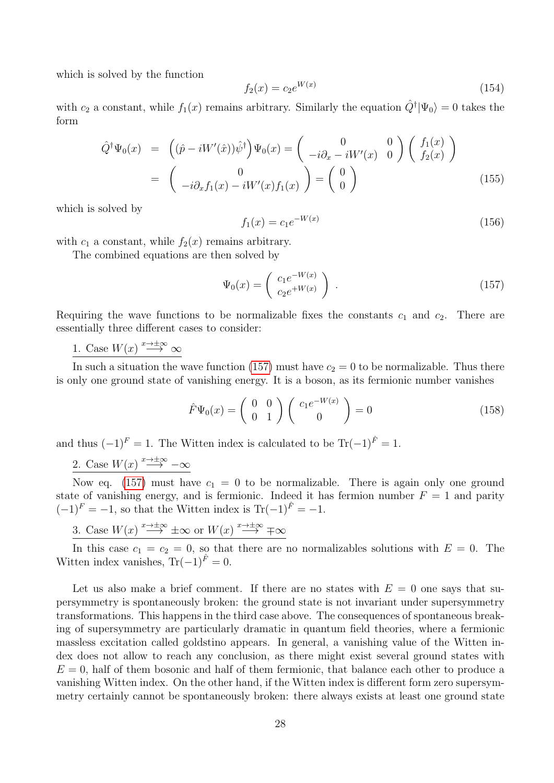which is solved by the function

$$
f_2(x) = c_2 e^{W(x)} \tag{154}
$$

with  $c_2$  a constant, while  $f_1(x)$  remains arbitrary. Similarly the equation  $\hat{Q}^{\dagger}|\Psi_0\rangle = 0$  takes the form

$$
\hat{Q}^{\dagger}\Psi_{0}(x) = \begin{pmatrix} (\hat{p} - iW'(\hat{x}))\hat{\psi}^{\dagger} \end{pmatrix}\Psi_{0}(x) = \begin{pmatrix} 0 & 0 \\ -i\partial_{x} - iW'(x) & 0 \end{pmatrix} \begin{pmatrix} f_{1}(x) \\ f_{2}(x) \end{pmatrix}
$$

$$
= \begin{pmatrix} 0 \\ -i\partial_{x}f_{1}(x) - iW'(x)f_{1}(x) \end{pmatrix} = \begin{pmatrix} 0 \\ 0 \end{pmatrix}
$$
(155)

which is solved by

$$
f_1(x) = c_1 e^{-W(x)} \tag{156}
$$

with  $c_1$  a constant, while  $f_2(x)$  remains arbitrary.

The combined equations are then solved by

<span id="page-27-0"></span>
$$
\Psi_0(x) = \begin{pmatrix} c_1 e^{-W(x)} \\ c_2 e^{+W(x)} \end{pmatrix} . \tag{157}
$$

Requiring the wave functions to be normalizable fixes the constants  $c_1$  and  $c_2$ . There are essentially three different cases to consider:

1. Case  $W(x) \stackrel{x \to \pm \infty}{\longrightarrow} \infty$ 

In such a situation the wave function [\(157\)](#page-27-0) must have  $c_2 = 0$  to be normalizable. Thus there is only one ground state of vanishing energy. It is a boson, as its fermionic number vanishes

$$
\hat{F}\Psi_0(x) = \begin{pmatrix} 0 & 0 \\ 0 & 1 \end{pmatrix} \begin{pmatrix} c_1 e^{-W(x)} \\ 0 \end{pmatrix} = 0 \tag{158}
$$

and thus  $(-1)^{F} = 1$ . The Witten index is calculated to be Tr $(-1)^{\hat{F}} = 1$ .

2. Case  $W(x) \stackrel{x \to \pm \infty}{\longrightarrow} -\infty$ 

Now eq. [\(157\)](#page-27-0) must have  $c_1 = 0$  to be normalizable. There is again only one ground state of vanishing energy, and is fermionic. Indeed it has fermion number  $F = 1$  and parity  $(-1)^F = -1$ , so that the Witten index is Tr $(-1)^{\hat{F}} = -1$ .

3. Case 
$$
W(x) \stackrel{x \to \pm \infty}{\longrightarrow} \pm \infty
$$
 or  $W(x) \stackrel{x \to \pm \infty}{\longrightarrow} \mp \infty$ 

In this case  $c_1 = c_2 = 0$ , so that there are no normalizables solutions with  $E = 0$ . The Witten index vanishes,  $\text{Tr}(-1)^{\hat{F}}=0$ .

Let us also make a brief comment. If there are no states with  $E = 0$  one says that supersymmetry is spontaneously broken: the ground state is not invariant under supersymmetry transformations. This happens in the third case above. The consequences of spontaneous breaking of supersymmetry are particularly dramatic in quantum field theories, where a fermionic massless excitation called goldstino appears. In general, a vanishing value of the Witten index does not allow to reach any conclusion, as there might exist several ground states with  $E = 0$ , half of them bosonic and half of them fermionic, that balance each other to produce a vanishing Witten index. On the other hand, if the Witten index is different form zero supersymmetry certainly cannot be spontaneously broken: there always exists at least one ground state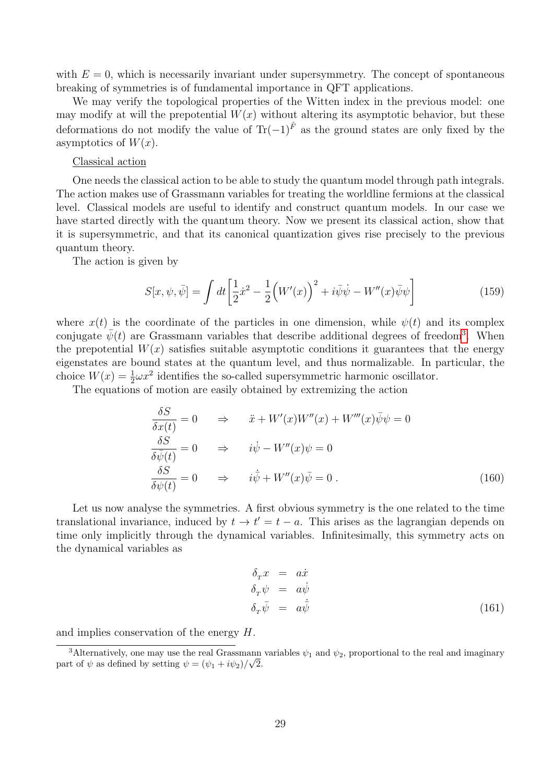with  $E = 0$ , which is necessarily invariant under supersymmetry. The concept of spontaneous breaking of symmetries is of fundamental importance in QFT applications.

We may verify the topological properties of the Witten index in the previous model: one may modify at will the prepotential  $W(x)$  without altering its asymptotic behavior, but these deformations do not modify the value of  $\text{Tr}(-1)^{\hat{F}}$  as the ground states are only fixed by the asymptotics of  $W(x)$ .

#### Classical action

One needs the classical action to be able to study the quantum model through path integrals. The action makes use of Grassmann variables for treating the worldline fermions at the classical level. Classical models are useful to identify and construct quantum models. In our case we have started directly with the quantum theory. Now we present its classical action, show that it is supersymmetric, and that its canonical quantization gives rise precisely to the previous quantum theory.

The action is given by

<span id="page-28-1"></span>
$$
S[x, \psi, \bar{\psi}] = \int dt \left[ \frac{1}{2} \dot{x}^2 - \frac{1}{2} \left( W'(x) \right)^2 + i \bar{\psi} \dot{\psi} - W''(x) \bar{\psi} \psi \right]
$$
(159)

where  $x(t)$  is the coordinate of the particles in one dimension, while  $\psi(t)$  and its complex conjugate  $\bar{\psi}(t)$  are Grassmann variables that describe additional degrees of freedom<sup>[3](#page-28-0)</sup>. When the prepotential  $W(x)$  satisfies suitable asymptotic conditions it guarantees that the energy eigenstates are bound states at the quantum level, and thus normalizable. In particular, the choice  $W(x) = \frac{1}{2}\omega x^2$  identifies the so-called supersymmetric harmonic oscillator.

The equations of motion are easily obtained by extremizing the action

$$
\frac{\delta S}{\delta x(t)} = 0 \quad \Rightarrow \quad \ddot{x} + W'(x)W''(x) + W'''(x)\bar{\psi}\psi = 0
$$
  

$$
\frac{\delta S}{\delta \bar{\psi}(t)} = 0 \quad \Rightarrow \quad i\dot{\psi} - W''(x)\psi = 0
$$
  

$$
\frac{\delta S}{\delta \psi(t)} = 0 \quad \Rightarrow \quad i\dot{\bar{\psi}} + W''(x)\bar{\psi} = 0.
$$
 (160)

Let us now analyse the symmetries. A first obvious symmetry is the one related to the time translational invariance, induced by  $t \to t' = t - a$ . This arises as the lagrangian depends on time only implicitly through the dynamical variables. Infinitesimally, this symmetry acts on the dynamical variables as

$$
\delta_{x} x = a\dot{x} \n\delta_{x} \psi = a\dot{\psi} \n\delta_{x} \bar{\psi} = a\dot{\psi}
$$
\n(161)

and implies conservation of the energy H.

<span id="page-28-0"></span><sup>&</sup>lt;sup>3</sup>Alternatively, one may use the real Grassmann variables  $\psi_1$  and  $\psi_2$ , proportional to the real and imaginary part of  $\psi$  as defined by setting  $\psi = (\psi_1 + i\psi_2)/\sqrt{2}$ .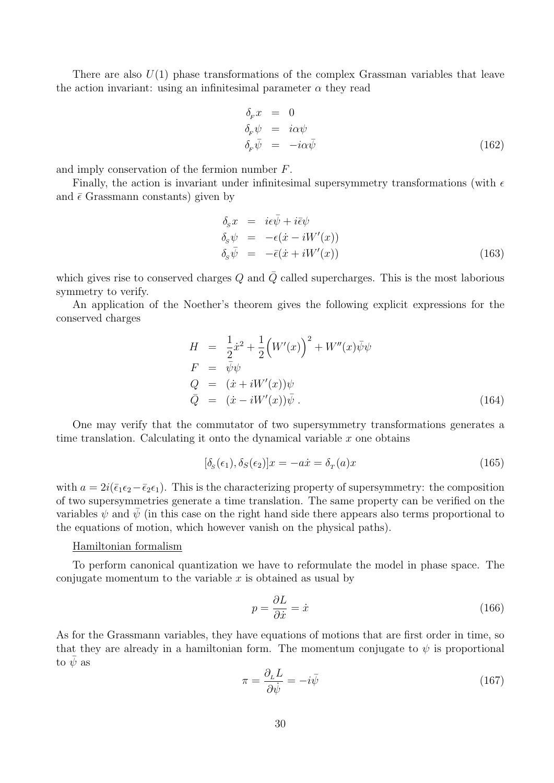There are also  $U(1)$  phase transformations of the complex Grassman variables that leave the action invariant: using an infinitesimal parameter  $\alpha$  they read

$$
\delta_F x = 0\n\delta_F \psi = i\alpha \psi\n\delta_F \bar{\psi} = -i\alpha \bar{\psi} \tag{162}
$$

and imply conservation of the fermion number F.

Finally, the action is invariant under infinitesimal supersymmetry transformations (with  $\epsilon$ and  $\bar{\epsilon}$  Grassmann constants) given by

<span id="page-29-1"></span>
$$
\delta_{s} x = i\epsilon \bar{\psi} + i\bar{\epsilon} \psi \n\delta_{s} \psi = -\epsilon (\dot{x} - iW'(x)) \n\delta_{s} \bar{\psi} = -\bar{\epsilon} (\dot{x} + iW'(x))
$$
\n(163)

which gives rise to conserved charges  $Q$  and  $\overline{Q}$  called supercharges. This is the most laborious symmetry to verify.

An application of the Noether's theorem gives the following explicit expressions for the conserved charges

<span id="page-29-0"></span>
$$
H = \frac{1}{2}\dot{x}^{2} + \frac{1}{2}(W'(x))^{2} + W''(x)\bar{\psi}\psi
$$
  
\n
$$
F = \bar{\psi}\psi
$$
  
\n
$$
Q = (\dot{x} + iW'(x))\psi
$$
  
\n
$$
\bar{Q} = (\dot{x} - iW'(x))\bar{\psi}.
$$
\n(164)

One may verify that the commutator of two supersymmetry transformations generates a time translation. Calculating it onto the dynamical variable  $x$  one obtains

$$
[\delta_s(\epsilon_1), \delta_s(\epsilon_2)]x = -a\dot{x} = \delta_r(a)x \tag{165}
$$

with  $a = 2i(\bar{\epsilon}_1\epsilon_2-\bar{\epsilon}_2\epsilon_1)$ . This is the characterizing property of supersymmetry: the composition of two supersymmetries generate a time translation. The same property can be verified on the variables  $\psi$  and  $\psi$  (in this case on the right hand side there appears also terms proportional to the equations of motion, which however vanish on the physical paths).

## Hamiltonian formalism

To perform canonical quantization we have to reformulate the model in phase space. The conjugate momentum to the variable  $x$  is obtained as usual by

$$
p = \frac{\partial L}{\partial \dot{x}} = \dot{x} \tag{166}
$$

As for the Grassmann variables, they have equations of motions that are first order in time, so that they are already in a hamiltonian form. The momentum conjugate to  $\psi$  is proportional to  $\psi$  as

$$
\pi = \frac{\partial_L L}{\partial \dot{\psi}} = -i\bar{\psi} \tag{167}
$$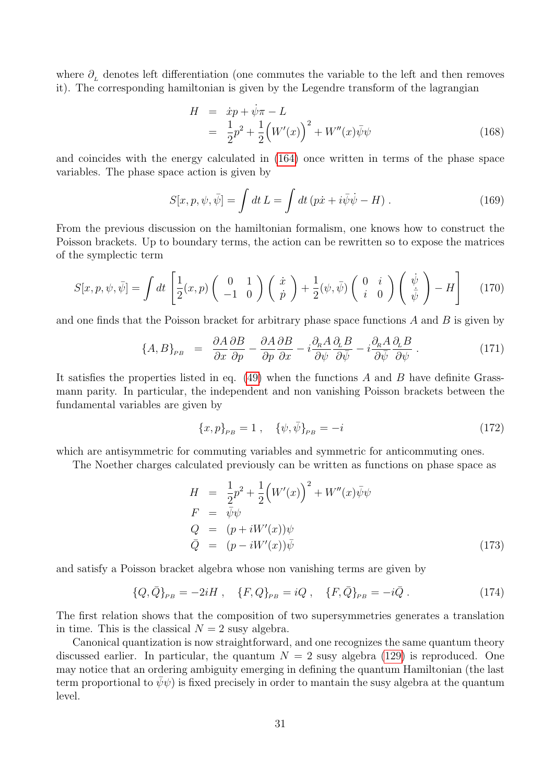where  $\partial_{\mu}$  denotes left differentiation (one commutes the variable to the left and then removes it). The corresponding hamiltonian is given by the Legendre transform of the lagrangian

$$
H = \dot{x}p + \dot{\psi}\pi - L
$$
  
=  $\frac{1}{2}p^2 + \frac{1}{2}(W'(x))^2 + W''(x)\bar{\psi}\psi$  (168)

and coincides with the energy calculated in [\(164\)](#page-29-0) once written in terms of the phase space variables. The phase space action is given by

$$
S[x, p, \psi, \bar{\psi}] = \int dt L = \int dt (p\dot{x} + i\bar{\psi}\dot{\psi} - H) . \qquad (169)
$$

From the previous discussion on the hamiltonian formalism, one knows how to construct the Poisson brackets. Up to boundary terms, the action can be rewritten so to expose the matrices of the symplectic term

$$
S[x, p, \psi, \bar{\psi}] = \int dt \left[ \frac{1}{2}(x, p) \begin{pmatrix} 0 & 1 \\ -1 & 0 \end{pmatrix} \begin{pmatrix} \dot{x} \\ \dot{p} \end{pmatrix} + \frac{1}{2}(\psi, \bar{\psi}) \begin{pmatrix} 0 & i \\ i & 0 \end{pmatrix} \begin{pmatrix} \dot{\psi} \\ \dot{\bar{\psi}} \end{pmatrix} - H \right]
$$
(170)

and one finds that the Poisson bracket for arbitrary phase space functions  $A$  and  $B$  is given by

$$
\{A, B\}_{PB} = \frac{\partial A}{\partial x}\frac{\partial B}{\partial p} - \frac{\partial A}{\partial p}\frac{\partial B}{\partial x} - i\frac{\partial_R A}{\partial \psi}\frac{\partial_L B}{\partial \bar{\psi}} - i\frac{\partial_R A}{\partial \bar{\psi}}\frac{\partial_L B}{\partial \psi}.
$$
(171)

It satisfies the properties listed in eq.  $(49)$  when the functions A and B have definite Grassmann parity. In particular, the independent and non vanishing Poisson brackets between the fundamental variables are given by

$$
\{x,p\}_{PB} = 1\ ,\quad \{\psi,\bar{\psi}\}_{PB} = -i\tag{172}
$$

which are antisymmetric for commuting variables and symmetric for anticommuting ones.

The Noether charges calculated previously can be written as functions on phase space as

$$
H = \frac{1}{2}p^2 + \frac{1}{2}(W'(x))^2 + W''(x)\overline{\psi}\psi
$$
  
\n
$$
F = \overline{\psi}\psi
$$
  
\n
$$
Q = (p + iW'(x))\psi
$$
  
\n
$$
\overline{Q} = (p - iW'(x))\overline{\psi}
$$
\n(173)

and satisfy a Poisson bracket algebra whose non vanishing terms are given by

$$
\{Q,\bar{Q}\}_{PB} = -2iH \ , \quad \{F,Q\}_{PB} = iQ \ , \quad \{F,\bar{Q}\}_{PB} = -i\bar{Q} \ . \tag{174}
$$

The first relation shows that the composition of two supersymmetries generates a translation in time. This is the classical  $N = 2$  susy algebra.

Canonical quantization is now straightforward, and one recognizes the same quantum theory discussed earlier. In particular, the quantum  $N = 2$  susy algebra [\(129\)](#page-22-0) is reproduced. One may notice that an ordering ambiguity emerging in defining the quantum Hamiltonian (the last term proportional to  $\psi \psi$  is fixed precisely in order to mantain the susy algebra at the quantum level.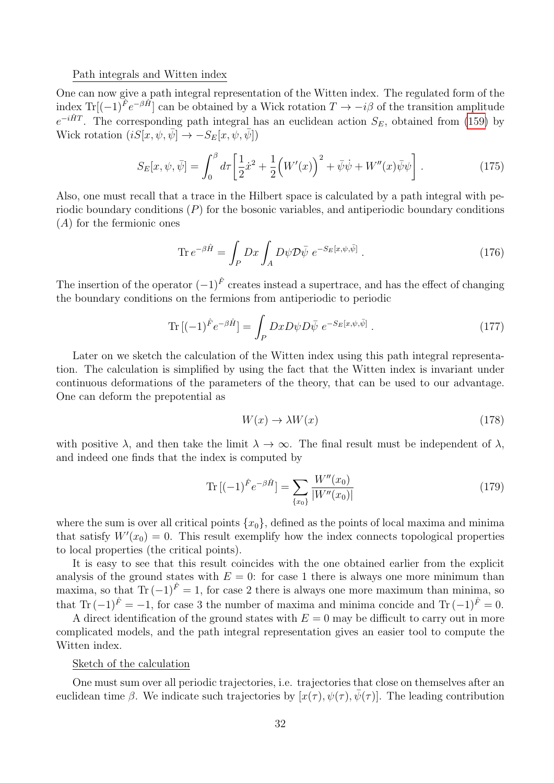#### Path integrals and Witten index

One can now give a path integral representation of the Witten index. The regulated form of the index Tr[ $(-1)^{\hat{F}}e^{-\beta \hat{H}}$ ] can be obtained by a Wick rotation  $T \to -i\beta$  of the transition amplitude  $e^{-i\hat{H}T}$ . The corresponding path integral has an euclidean action  $S_E$ , obtained from [\(159\)](#page-28-1) by Wick rotation  $(iS[\bar{x}, \psi, \bar{\psi}] \rightarrow -S_E[x, \psi, \bar{\psi}])$ 

$$
S_E[x, \psi, \bar{\psi}] = \int_0^{\beta} d\tau \left[ \frac{1}{2} \dot{x}^2 + \frac{1}{2} \left( W'(x) \right)^2 + \bar{\psi} \dot{\psi} + W''(x) \bar{\psi} \psi \right]. \tag{175}
$$

Also, one must recall that a trace in the Hilbert space is calculated by a path integral with periodic boundary conditions  $(P)$  for the bosonic variables, and antiperiodic boundary conditions (A) for the fermionic ones

$$
\operatorname{Tr} e^{-\beta \hat{H}} = \int_{P} Dx \int_{A} D\psi \mathcal{D}\bar{\psi} \ e^{-S_{E}[x,\psi,\bar{\psi}]} \ . \tag{176}
$$

The insertion of the operator  $(-1)^{\hat{F}}$  creates instead a supertrace, and has the effect of changing the boundary conditions on the fermions from antiperiodic to periodic

$$
\operatorname{Tr}\left[(-1)^{\hat{F}}e^{-\beta\hat{H}}\right] = \int_{P}DxD\psi D\bar{\psi} \ e^{-S_{E}[x,\psi,\bar{\psi}]}\ . \tag{177}
$$

Later on we sketch the calculation of the Witten index using this path integral representation. The calculation is simplified by using the fact that the Witten index is invariant under continuous deformations of the parameters of the theory, that can be used to our advantage. One can deform the prepotential as

$$
W(x) \to \lambda W(x) \tag{178}
$$

with positive  $\lambda$ , and then take the limit  $\lambda \to \infty$ . The final result must be independent of  $\lambda$ , and indeed one finds that the index is computed by

$$
\operatorname{Tr}\left[(-1)^{\hat{F}}e^{-\beta\hat{H}}\right] = \sum_{\{x_0\}} \frac{W''(x_0)}{|W''(x_0)|}\tag{179}
$$

where the sum is over all critical points  $\{x_0\}$ , defined as the points of local maxima and minima that satisfy  $W'(x_0) = 0$ . This result exemplify how the index connects topological properties to local properties (the critical points).

It is easy to see that this result coincides with the one obtained earlier from the explicit analysis of the ground states with  $E = 0$ : for case 1 there is always one more minimum than maxima, so that Tr  $(-1)^{\hat{F}} = 1$ , for case 2 there is always one more maximum than minima, so that Tr  $(-1)^{\hat{F}} = -1$ , for case 3 the number of maxima and minima concide and Tr  $(-1)^{\hat{F}} = 0$ .

A direct identification of the ground states with  $E = 0$  may be difficult to carry out in more complicated models, and the path integral representation gives an easier tool to compute the Witten index.

#### Sketch of the calculation

One must sum over all periodic trajectories, i.e. trajectories that close on themselves after an euclidean time β. We indicate such trajectories by  $[x(\tau), \psi(\tau), \bar{\psi}(\tau)]$ . The leading contribution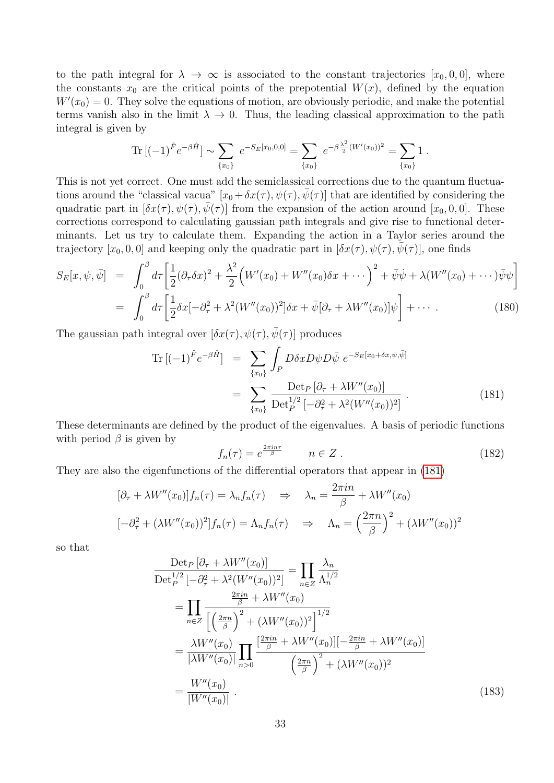to the path integral for  $\lambda \to \infty$  is associated to the constant trajectories  $[x_0, 0, 0]$ , where the constants  $x_0$  are the critical points of the prepotential  $W(x)$ , defined by the equation  $W'(x_0) = 0$ . They solve the equations of motion, are obviously periodic, and make the potential terms vanish also in the limit  $\lambda \to 0$ . Thus, the leading classical approximation to the path integral is given by

Tr 
$$
[(-1)^{\hat{F}} e^{-\beta \hat{H}}] \sim \sum_{\{x_0\}} e^{-S_E[x_0,0,0]} = \sum_{\{x_0\}} e^{-\beta \frac{\lambda^2}{2} (W'(x_0))^2} = \sum_{\{x_0\}} 1.
$$

This is not yet correct. One must add the semiclassical corrections due to the quantum fluctuations around the "classical vacua"  $[x_0 + \delta x(\tau), \psi(\tau), \bar{\psi}(\tau)]$  that are identified by considering the quadratic part in  $[\delta x(\tau), \psi(\tau), \bar{\psi}(\tau)]$  from the expansion of the action around  $[x_0, 0, 0]$ . These corrections correspond to calculating gaussian path integrals and give rise to functional determinants. Let us try to calculate them. Expanding the action in a Taylor series around the trajectory  $[x_0, 0, 0]$  and keeping only the quadratic part in  $[\delta x(\tau), \psi(\tau), \bar{\psi}(\tau)]$ , one finds

$$
S_E[x, \psi, \bar{\psi}] = \int_0^{\beta} d\tau \left[ \frac{1}{2} (\partial_{\tau} \delta x)^2 + \frac{\lambda^2}{2} \Big( W'(x_0) + W''(x_0) \delta x + \cdots \Big)^2 + \bar{\psi} \dot{\psi} + \lambda (W''(x_0) + \cdots) \bar{\psi} \psi \right]
$$
  
= 
$$
\int_0^{\beta} d\tau \left[ \frac{1}{2} \delta x [-\partial_{\tau}^2 + \lambda^2 (W''(x_0))^2] \delta x + \bar{\psi} [\partial_{\tau} + \lambda W''(x_0)] \psi \right] + \cdots
$$
 (180)

The gaussian path integral over  $[\delta x(\tau), \psi(\tau), \bar{\psi}(\tau)]$  produces

<span id="page-32-0"></span>
$$
\text{Tr}\left[(-1)^{\hat{F}}e^{-\beta\hat{H}}\right] = \sum_{\{x_0\}} \int_P D\delta x D\psi D\bar{\psi} \ e^{-S_E[x_0 + \delta x, \psi, \bar{\psi}]} \\
= \sum_{\{x_0\}} \frac{\text{Det}_P\left[\partial_\tau + \lambda W''(x_0)\right]}{\text{Det}_P^{1/2}\left[-\partial_\tau^2 + \lambda^2 (W''(x_0))^2\right]} \ . \tag{181}
$$

These determinants are defined by the product of the eigenvalues. A basis of periodic functions with period  $\beta$  is given by

$$
f_n(\tau) = e^{\frac{2\pi i n \tau}{\beta}} \qquad n \in Z.
$$
 (182)

They are also the eigenfunctions of the differential operators that appear in [\(181\)](#page-32-0)

$$
[\partial_{\tau} + \lambda W''(x_0)]f_n(\tau) = \lambda_n f_n(\tau) \quad \Rightarrow \quad \lambda_n = \frac{2\pi i n}{\beta} + \lambda W''(x_0)
$$

$$
[-\partial_{\tau}^2 + (\lambda W''(x_0))^2]f_n(\tau) = \Lambda_n f_n(\tau) \quad \Rightarrow \quad \Lambda_n = \left(\frac{2\pi n}{\beta}\right)^2 + (\lambda W''(x_0))^2
$$

so that

$$
\frac{\text{Det}_{P}[\partial_{\tau} + \lambda W''(x_{0})]}{\text{Det}_{P}^{1/2}[-\partial_{\tau}^{2} + \lambda^{2}(W''(x_{0}))^{2}]} = \prod_{n \in \mathbb{Z}} \frac{\lambda_{n}}{\Lambda_{n}^{1/2}}
$$
\n
$$
= \prod_{n \in \mathbb{Z}} \frac{\frac{2\pi in}{\beta} + \lambda W''(x_{0})}{\left[\left(\frac{2\pi n}{\beta}\right)^{2} + (\lambda W''(x_{0}))^{2}\right]^{1/2}}
$$
\n
$$
= \frac{\lambda W''(x_{0})}{|\lambda W''(x_{0})|} \prod_{n>0} \frac{\left[\frac{2\pi in}{\beta} + \lambda W''(x_{0})\right] \left[-\frac{2\pi in}{\beta} + \lambda W''(x_{0})\right]}{\left(\frac{2\pi n}{\beta}\right)^{2} + (\lambda W''(x_{0}))^{2}}
$$
\n
$$
= \frac{W''(x_{0})}{|W''(x_{0})|}.
$$
\n(183)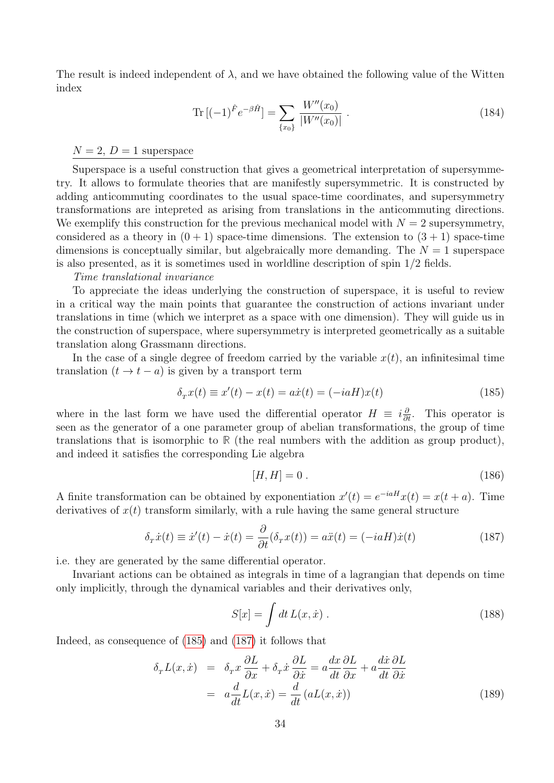The result is indeed independent of  $\lambda$ , and we have obtained the following value of the Witten index

$$
\operatorname{Tr}\left[(-1)^{\hat{F}}e^{-\beta\hat{H}}\right] = \sum_{\{x_0\}}\frac{W''(x_0)}{|W''(x_0)|} \ . \tag{184}
$$

 $N = 2$ ,  $D = 1$  superspace

Superspace is a useful construction that gives a geometrical interpretation of supersymmetry. It allows to formulate theories that are manifestly supersymmetric. It is constructed by adding anticommuting coordinates to the usual space-time coordinates, and supersymmetry transformations are intepreted as arising from translations in the anticommuting directions. We exemplify this construction for the previous mechanical model with  $N = 2$  supersymmetry, considered as a theory in  $(0 + 1)$  space-time dimensions. The extension to  $(3 + 1)$  space-time dimensions is conceptually similar, but algebraically more demanding. The  $N = 1$  superspace is also presented, as it is sometimes used in worldline description of spin 1/2 fields.

#### Time translational invariance

To appreciate the ideas underlying the construction of superspace, it is useful to review in a critical way the main points that guarantee the construction of actions invariant under translations in time (which we interpret as a space with one dimension). They will guide us in the construction of superspace, where supersymmetry is interpreted geometrically as a suitable translation along Grassmann directions.

In the case of a single degree of freedom carried by the variable  $x(t)$ , an infinitesimal time translation  $(t \rightarrow t - a)$  is given by a transport term

<span id="page-33-0"></span>
$$
\delta_x x(t) \equiv x'(t) - x(t) = a\dot{x}(t) = (-iaH)x(t)
$$
\n(185)

where in the last form we have used the differential operator  $H \equiv i\frac{\partial}{\partial t}$ . This operator is seen as the generator of a one parameter group of abelian transformations, the group of time translations that is isomorphic to **R** (the real numbers with the addition as group product), and indeed it satisfies the corresponding Lie algebra

$$
[H, H] = 0. \tag{186}
$$

A finite transformation can be obtained by exponentiation  $x'(t) = e^{-iaH}x(t) = x(t+a)$ . Time derivatives of  $x(t)$  transform similarly, with a rule having the same general structure

<span id="page-33-1"></span>
$$
\delta_{\tau}\dot{x}(t) \equiv \dot{x}'(t) - \dot{x}(t) = \frac{\partial}{\partial t}(\delta_{\tau}x(t)) = a\ddot{x}(t) = (-iaH)\dot{x}(t)
$$
\n(187)

i.e. they are generated by the same differential operator.

Invariant actions can be obtained as integrals in time of a lagrangian that depends on time only implicitly, through the dynamical variables and their derivatives only,

$$
S[x] = \int dt L(x, \dot{x}) . \qquad (188)
$$

Indeed, as consequence of [\(185\)](#page-33-0) and [\(187\)](#page-33-1) it follows that

$$
\delta_T L(x, \dot{x}) = \delta_T x \frac{\partial L}{\partial x} + \delta_T \dot{x} \frac{\partial L}{\partial \dot{x}} = a \frac{dx}{dt} \frac{\partial L}{\partial x} + a \frac{d\dot{x}}{dt} \frac{\partial L}{\partial \dot{x}}
$$

$$
= a \frac{d}{dt} L(x, \dot{x}) = \frac{d}{dt} (aL(x, \dot{x}))
$$
(189)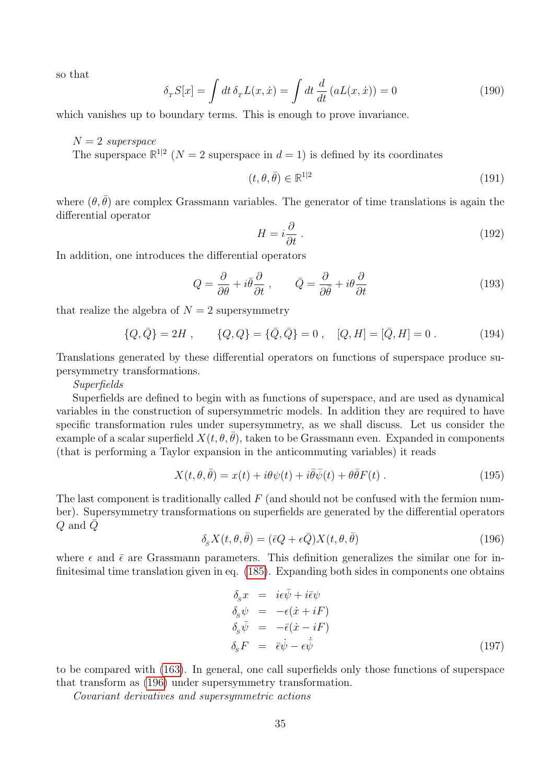so that

$$
\delta_{\tau} S[x] = \int dt \,\delta_{\tau} L(x,\dot{x}) = \int dt \,\frac{d}{dt} \left( aL(x,\dot{x}) \right) = 0 \tag{190}
$$

which vanishes up to boundary terms. This is enough to prove invariance.

 $N = 2$  superspace

The superspace  $\mathbb{R}^{1|2}$  ( $N=2$  superspace in  $d=1$ ) is defined by its coordinates

$$
(t, \theta, \bar{\theta}) \in \mathbb{R}^{1|2} \tag{191}
$$

where  $(\theta, \bar{\theta})$  are complex Grassmann variables. The generator of time translations is again the differential operator

$$
H = i\frac{\partial}{\partial t} \,. \tag{192}
$$

In addition, one introduces the differential operators

<span id="page-34-1"></span>
$$
Q = \frac{\partial}{\partial \theta} + i\bar{\theta}\frac{\partial}{\partial t} , \qquad \bar{Q} = \frac{\partial}{\partial \bar{\theta}} + i\theta\frac{\partial}{\partial t}
$$
(193)

that realize the algebra of  $N = 2$  supersymmetry

$$
\{Q,\bar{Q}\} = 2H , \qquad \{Q,Q\} = \{\bar{Q},\bar{Q}\} = 0 , \quad [Q,H] = [\bar{Q},H] = 0 .
$$
 (194)

Translations generated by these differential operators on functions of superspace produce supersymmetry transformations.

Superfields

Superfields are defined to begin with as functions of superspace, and are used as dynamical variables in the construction of supersymmetric models. In addition they are required to have specific transformation rules under supersymmetry, as we shall discuss. Let us consider the example of a scalar superfield  $X(t, \theta, \theta)$ , taken to be Grassmann even. Expanded in components (that is performing a Taylor expansion in the anticommuting variables) it reads

$$
X(t, \theta, \bar{\theta}) = x(t) + i\theta\psi(t) + i\bar{\theta}\bar{\psi}(t) + \theta\bar{\theta}F(t) .
$$
\n(195)

The last component is traditionally called  $F$  (and should not be confused with the fermion number). Supersymmetry transformations on superfields are generated by the differential operators Q and  $\bar{Q}$ 

<span id="page-34-0"></span>
$$
\delta_{s} X(t, \theta, \bar{\theta}) = (\bar{\epsilon} Q + \epsilon \bar{Q}) X(t, \theta, \bar{\theta}) \tag{196}
$$

where  $\epsilon$  and  $\bar{\epsilon}$  are Grassmann parameters. This definition generalizes the similar one for infinitesimal time translation given in eq. [\(185\)](#page-33-0). Expanding both sides in components one obtains

$$
\delta_{S}x = i\epsilon\bar{\psi} + i\bar{\epsilon}\psi \n\delta_{S}\psi = -\epsilon(\dot{x} + iF) \n\delta_{S}\bar{\psi} = -\bar{\epsilon}(\dot{x} - iF) \n\delta_{S}F = \bar{\epsilon}\dot{\psi} - \epsilon\dot{\bar{\psi}} \tag{197}
$$

to be compared with [\(163\)](#page-29-1). In general, one call superfields only those functions of superspace that transform as [\(196\)](#page-34-0) under supersymmetry transformation.

Covariant derivatives and supersymmetric actions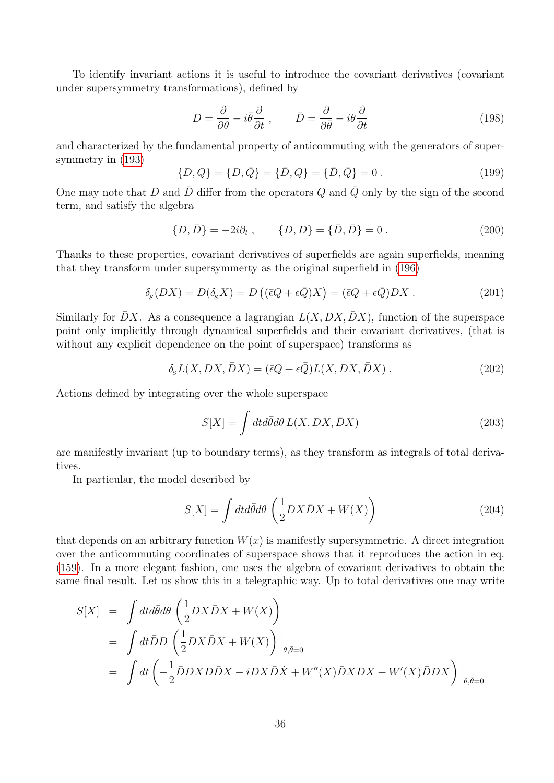To identify invariant actions it is useful to introduce the covariant derivatives (covariant under supersymmetry transformations), defined by

$$
D = \frac{\partial}{\partial \theta} - i\bar{\theta}\frac{\partial}{\partial t}, \qquad \bar{D} = \frac{\partial}{\partial \bar{\theta}} - i\theta\frac{\partial}{\partial t}
$$
(198)

and characterized by the fundamental property of anticommuting with the generators of supersymmetry in [\(193\)](#page-34-1)

$$
\{D, Q\} = \{D, \bar{Q}\} = \{\bar{D}, Q\} = \{\bar{D}, \bar{Q}\} = 0.
$$
\n(199)

One may note that D and  $\bar{D}$  differ from the operators Q and  $\bar{Q}$  only by the sign of the second term, and satisfy the algebra

$$
\{D,\bar{D}\} = -2i\partial_t ,\qquad \{D,D\} = \{\bar{D},\bar{D}\} = 0 . \qquad (200)
$$

Thanks to these properties, covariant derivatives of superfields are again superfields, meaning that they transform under supersymmerty as the original superfield in [\(196\)](#page-34-0)

$$
\delta_S(DX) = D(\delta_S X) = D((\bar{\epsilon}Q + \epsilon \bar{Q})X) = (\bar{\epsilon}Q + \epsilon \bar{Q})DX.
$$
\n(201)

Similarly for  $\bar{D}X$ . As a consequence a lagrangian  $L(X, DX, \bar{D}X)$ , function of the superspace point only implicitly through dynamical superfields and their covariant derivatives, (that is without any explicit dependence on the point of superspace) transforms as

$$
\delta_{\rm s} L(X,DX,\bar{D}X) = (\bar{\epsilon}Q + \epsilon \bar{Q})L(X,DX,\bar{D}X) \tag{202}
$$

Actions defined by integrating over the whole superspace

$$
S[X] = \int dt d\bar{\theta} d\theta L(X, DX, \bar{D}X)
$$
\n(203)

are manifestly invariant (up to boundary terms), as they transform as integrals of total derivatives.

In particular, the model described by

$$
S[X] = \int dt d\bar{\theta} d\theta \left(\frac{1}{2}DX\bar{D}X + W(X)\right)
$$
\n(204)

that depends on an arbitrary function  $W(x)$  is manifestly supersymmetric. A direct integration over the anticommuting coordinates of superspace shows that it reproduces the action in eq. [\(159\)](#page-28-1). In a more elegant fashion, one uses the algebra of covariant derivatives to obtain the same final result. Let us show this in a telegraphic way. Up to total derivatives one may write

$$
S[X] = \int dt d\bar{\theta} d\theta \left( \frac{1}{2} DX\bar{D}X + W(X) \right)
$$
  
= 
$$
\int dt \bar{D}D \left( \frac{1}{2} DX\bar{D}X + W(X) \right) \Big|_{\theta, \bar{\theta}=0}
$$
  
= 
$$
\int dt \left( -\frac{1}{2} \bar{D}DXD\bar{D}X - iDX\bar{D}\dot{X} + W''(X)\bar{D}XDX + W'(X)\bar{D}DX \right) \Big|_{\theta, \bar{\theta}=0}
$$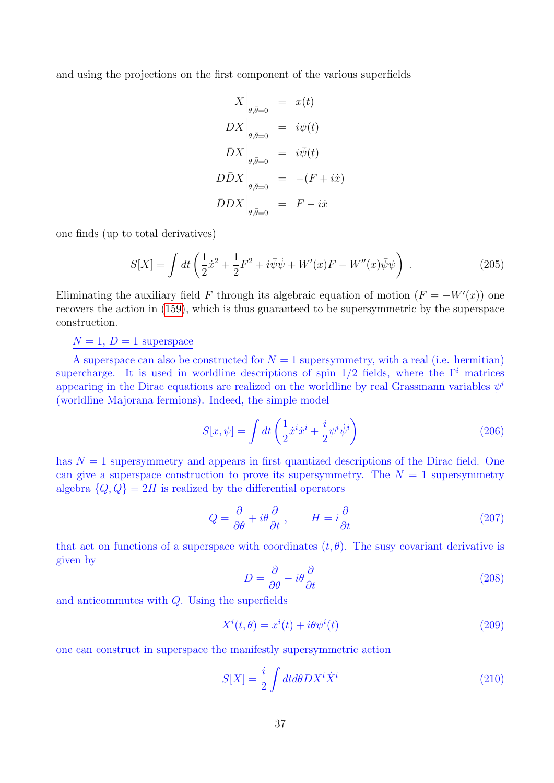and using the projections on the first component of the various superfields

$$
X\Big|_{\theta, \bar{\theta}=0} = x(t)
$$
  
\n
$$
DX\Big|_{\theta, \bar{\theta}=0} = i\psi(t)
$$
  
\n
$$
\bar{D}X\Big|_{\theta, \bar{\theta}=0} = i\bar{\psi}(t)
$$
  
\n
$$
D\bar{D}X\Big|_{\theta, \bar{\theta}=0} = -(F + i\dot{x})
$$
  
\n
$$
\bar{D}DX\Big|_{\theta, \bar{\theta}=0} = F - i\dot{x}
$$

one finds (up to total derivatives)

$$
S[X] = \int dt \left( \frac{1}{2} \dot{x}^2 + \frac{1}{2} F^2 + i \bar{\psi} \dot{\psi} + W'(x) F - W''(x) \bar{\psi} \psi \right) . \tag{205}
$$

Eliminating the auxiliary field F through its algebraic equation of motion  $(F = -W'(x))$  one recovers the action in [\(159\)](#page-28-1), which is thus guaranteed to be supersymmetric by the superspace construction.

 $N = 1$ ,  $D = 1$  superspace

A superspace can also be constructed for  $N = 1$  supersymmetry, with a real (i.e. hermitian) supercharge. It is used in worldline descriptions of spin  $1/2$  fields, where the  $\Gamma^i$  matrices appearing in the Dirac equations are realized on the worldline by real Grassmann variables  $\psi^i$ (worldline Majorana fermions). Indeed, the simple model

<span id="page-36-0"></span>
$$
S[x,\psi] = \int dt \left(\frac{1}{2}\dot{x}^i\dot{x}^i + \frac{i}{2}\psi^i\dot{\psi}^i\right) \tag{206}
$$

has  $N = 1$  supersymmetry and appears in first quantized descriptions of the Dirac field. One can give a superspace construction to prove its supersymmetry. The  $N = 1$  supersymmetry algebra  $\{Q, Q\} = 2H$  is realized by the differential operators

$$
Q = \frac{\partial}{\partial \theta} + i\theta \frac{\partial}{\partial t} , \qquad H = i \frac{\partial}{\partial t}
$$
 (207)

that act on functions of a superspace with coordinates  $(t, \theta)$ . The susy covariant derivative is given by

$$
D = \frac{\partial}{\partial \theta} - i\theta \frac{\partial}{\partial t} \tag{208}
$$

and anticommutes with Q. Using the superfields

$$
X^{i}(t,\theta) = x^{i}(t) + i\theta\psi^{i}(t)
$$
\n(209)

one can construct in superspace the manifestly supersymmetric action

$$
S[X] = \frac{i}{2} \int dt d\theta D X^i \dot{X}^i
$$
\n(210)